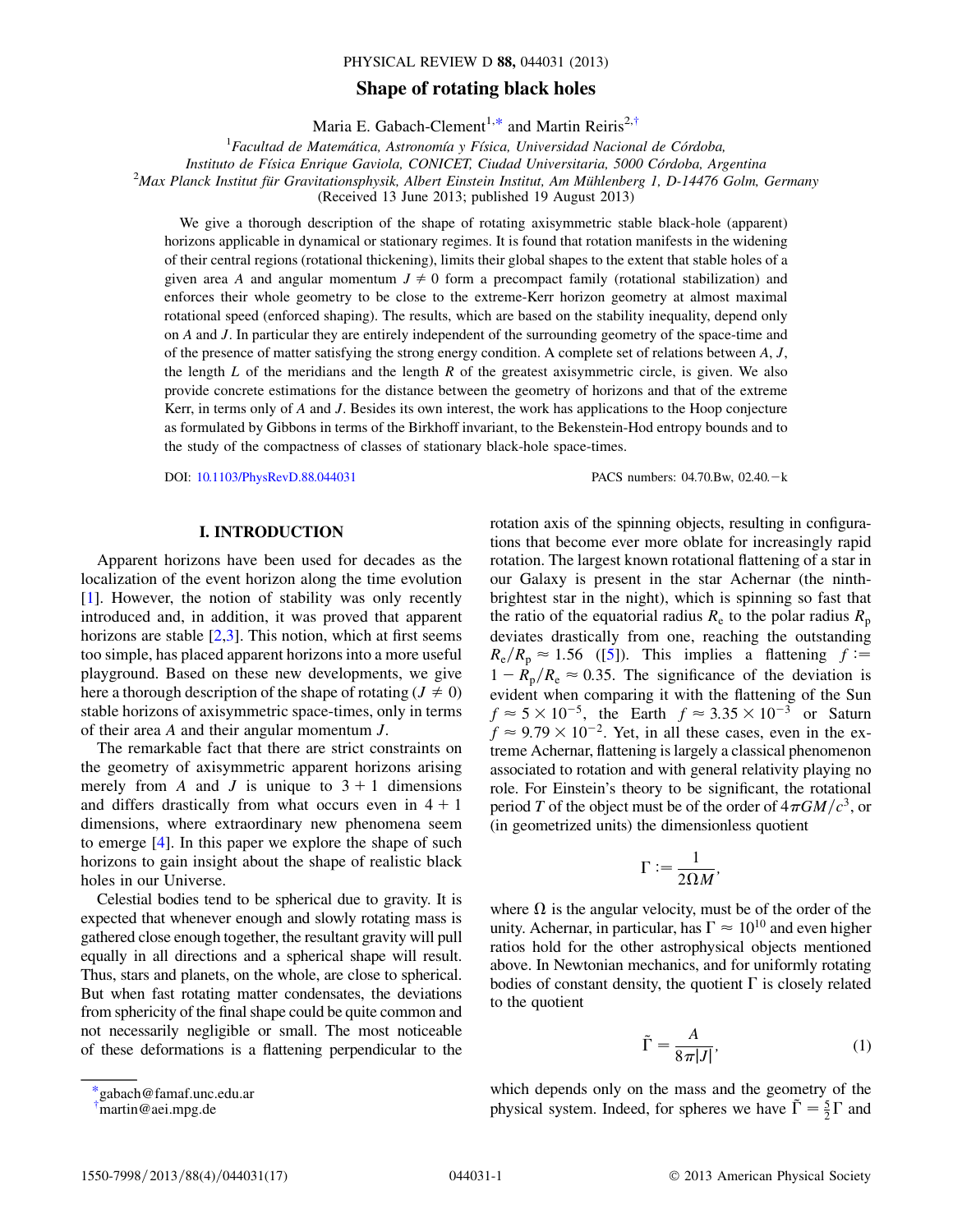#### PHYSICAL REVIEW D 88, 044031 (2013)

# Shape of rotating black holes

Maria E. Gabach-Clement<sup>1[,\\*](#page-0-0)</sup> and Martin Reiris<sup>2[,†](#page-0-1)</sup>

<span id="page-0-2"></span> ${}^{1}$ Facultad de Matemática, Astronomía y Física, Universidad Nacional de Córdoba, Instituto de Física Enrique Gaviola, CONICET, Ciudad Universitaria, 5000 Córdoba, Argentina  $^{2}$ Max Planck Institut für Gravitationsphysik, Albert Einstein Institut, Am Mühlenberg 1, D-14476 Golm, Germany (Received 13 June 2013; published 19 August 2013)

We give a thorough description of the shape of rotating axisymmetric stable black-hole (apparent) horizons applicable in dynamical or stationary regimes. It is found that rotation manifests in the widening of their central regions (rotational thickening), limits their global shapes to the extent that stable holes of a given area A and angular momentum  $J \neq 0$  form a precompact family (rotational stabilization) and enforces their whole geometry to be close to the extreme-Kerr horizon geometry at almost maximal rotational speed (enforced shaping). The results, which are based on the stability inequality, depend only on A and J. In particular they are entirely independent of the surrounding geometry of the space-time and of the presence of matter satisfying the strong energy condition. A complete set of relations between  $A, J$ , the length  $L$  of the meridians and the length  $R$  of the greatest axisymmetric circle, is given. We also provide concrete estimations for the distance between the geometry of horizons and that of the extreme Kerr, in terms only of A and J. Besides its own interest, the work has applications to the Hoop conjecture as formulated by Gibbons in terms of the Birkhoff invariant, to the Bekenstein-Hod entropy bounds and to the study of the compactness of classes of stationary black-hole space-times.

DOI: [10.1103/PhysRevD.88.044031](http://dx.doi.org/10.1103/PhysRevD.88.044031) PACS numbers: 04.70.Bw, 02.40. - k

# I. INTRODUCTION

Apparent horizons have been used for decades as the localization of the event horizon along the time evolution [\[1\]](#page-16-0). However, the notion of stability was only recently introduced and, in addition, it was proved that apparent horizons are stable  $[2,3]$  $[2,3]$ . This notion, which at first seems too simple, has placed apparent horizons into a more useful playground. Based on these new developments, we give here a thorough description of the shape of rotating ( $J \neq 0$ ) stable horizons of axisymmetric space-times, only in terms of their area A and their angular momentum J.

The remarkable fact that there are strict constraints on the geometry of axisymmetric apparent horizons arising merely from A and J is unique to  $3 + 1$  dimensions and differs drastically from what occurs even in  $4 + 1$ dimensions, where extraordinary new phenomena seem to emerge [[4](#page-16-3)]. In this paper we explore the shape of such horizons to gain insight about the shape of realistic black holes in our Universe.

Celestial bodies tend to be spherical due to gravity. It is expected that whenever enough and slowly rotating mass is gathered close enough together, the resultant gravity will pull equally in all directions and a spherical shape will result. Thus, stars and planets, on the whole, are close to spherical. But when fast rotating matter condensates, the deviations from sphericity of the final shape could be quite common and not necessarily negligible or small. The most noticeable of these deformations is a flattening perpendicular to the rotation axis of the spinning objects, resulting in configurations that become ever more oblate for increasingly rapid rotation. The largest known rotational flattening of a star in our Galaxy is present in the star Achernar (the ninthbrightest star in the night), which is spinning so fast that the ratio of the equatorial radius  $R_e$  to the polar radius  $R_p$ deviates drastically from one, reaching the outstanding  $R_e/R_p \approx 1.56$  $R_e/R_p \approx 1.56$  $R_e/R_p \approx 1.56$  ([5]). This implies a flattening  $f =$  $1 - R_p/R_e \approx 0.35$ . The significance of the deviation is evident when comparing it with the flattening of the Sun  $f \approx 5 \times 10^{-5}$ , the Earth  $f \approx 3.35 \times 10^{-3}$  or Saturn  $f \approx 9.79 \times 10^{-2}$ . Yet, in all these cases, even in the extreme Achernar, flattening is largely a classical phenomenon associated to rotation and with general relativity playing no role. For Einstein's theory to be significant, the rotational period T of the object must be of the order of  $4\pi GM/c^3$ , or (in geometrized units) the dimensionless quotient

$$
\Gamma := \frac{1}{2\Omega M},
$$

where  $\Omega$  is the angular velocity, must be of the order of the unity. Achernar, in particular, has  $\Gamma \approx 10^{10}$  and even higher ratios hold for the other astrophysical objects mentioned above. In Newtonian mechanics, and for uniformly rotating bodies of constant density, the quotient  $\Gamma$  is closely related to the quotient

$$
\tilde{\Gamma} = \frac{A}{8\pi|J|},\tag{1}
$$

which depends only on the mass and the geometry of the physical system. Indeed, for spheres we have  $\tilde{\Gamma} = \frac{5}{2} \Gamma$  and

<span id="page-0-0"></span>[<sup>\\*</sup>g](#page-0-2)abach@famaf.unc.edu.ar

<span id="page-0-1"></span>[<sup>†</sup>](#page-0-2) martin@aei.mpg.de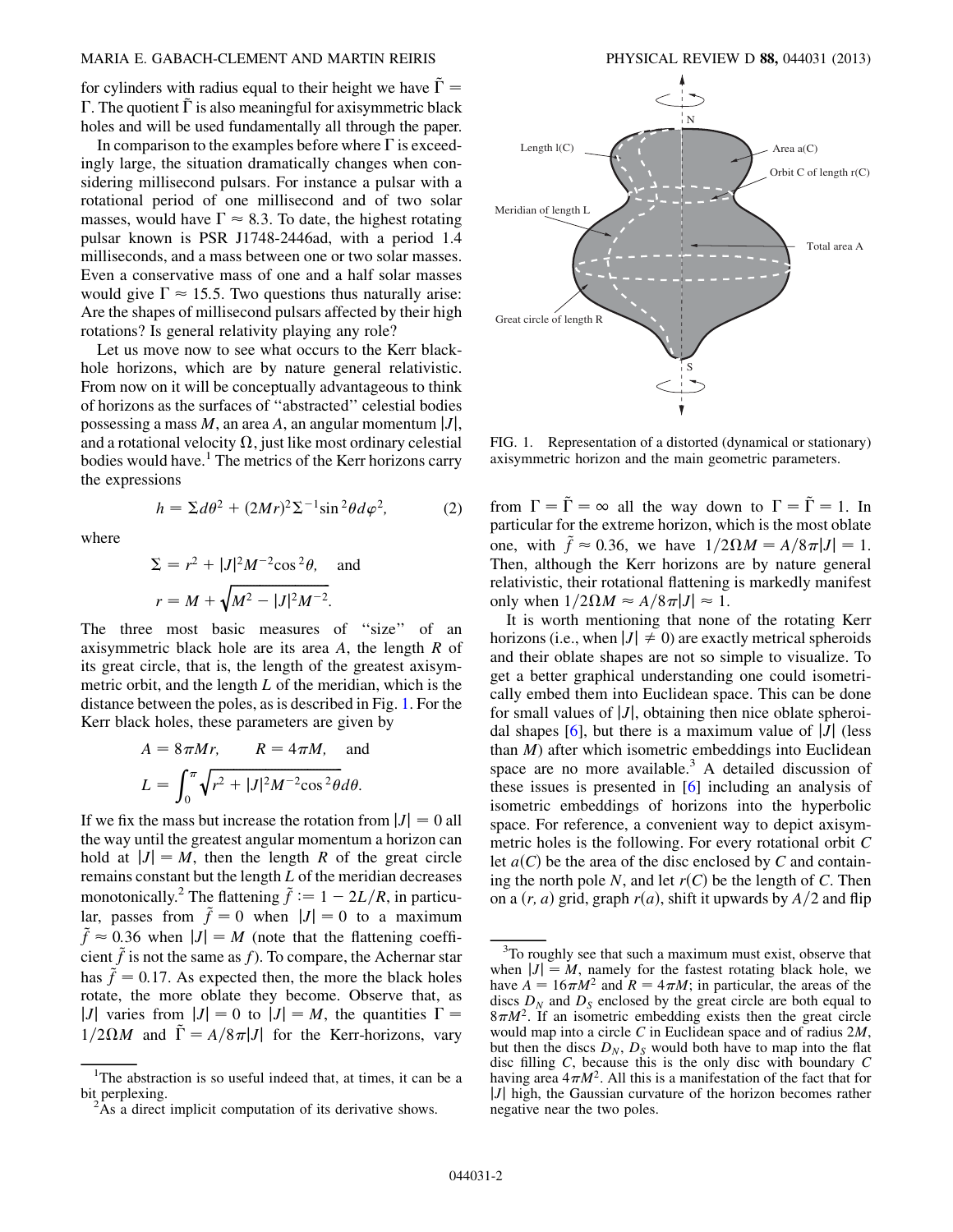for cylinders with radius equal to their height we have  $\Gamma =$  $\Gamma$ . The quotient  $\Gamma$  is also meaningful for axisymmetric black holes and will be used fundamentally all through the paper.

In comparison to the examples before where  $\Gamma$  is exceedingly large, the situation dramatically changes when considering millisecond pulsars. For instance a pulsar with a rotational period of one millisecond and of two solar masses, would have  $\Gamma \approx 8.3$ . To date, the highest rotating pulsar known is PSR J1748-2446ad, with a period 1.4 milliseconds, and a mass between one or two solar masses. Even a conservative mass of one and a half solar masses would give  $\Gamma \approx 15.5$ . Two questions thus naturally arise: Are the shapes of millisecond pulsars affected by their high rotations? Is general relativity playing any role?

Let us move now to see what occurs to the Kerr blackhole horizons, which are by nature general relativistic. From now on it will be conceptually advantageous to think of horizons as the surfaces of ''abstracted'' celestial bodies possessing a mass  $M$ , an area  $A$ , an angular momentum  $|J|$ , and a rotational velocity  $\Omega$ , just like most ordinary celestial bodies would have.<sup>1</sup> The metrics of the Kerr horizons carry the expressions

$$
h = \Sigma d\theta^2 + (2Mr)^2 \Sigma^{-1} \sin^2 \theta d\varphi^2, \tag{2}
$$

where

$$
\Sigma = r^2 + |J|^2 M^{-2} \cos^2 \theta,
$$
 and  

$$
r = M + \sqrt{M^2 - |J|^2 M^{-2}}.
$$

The three most basic measures of ''size'' of an axisymmetric black hole are its area  $A$ , the length  $R$  of its great circle, that is, the length of the greatest axisymmetric orbit, and the length  $L$  of the meridian, which is the distance between the poles, as is described in Fig. [1](#page-1-0). For the Kerr black holes, these parameters are given by

$$
A = 8\pi Mr, \qquad R = 4\pi M, \text{ and}
$$

$$
L = \int_0^{\pi} \sqrt{r^2 + |J|^2 M^{-2} \cos^2 \theta} d\theta.
$$

If we fix the mass but increase the rotation from  $|J| = 0$  all the way until the greatest angular momentum a horizon can hold at  $|J| = M$ , then the length R of the great circle remains constant but the length L of the meridian decreases monotonically.<sup>2</sup> The flattening  $\tilde{f} := 1 - 2L/R$ , in particular, passes from  $\tilde{f} = 0$  when  $|J| = 0$  to a maximum  $\tilde{f} \approx 0.36$  when  $|J| = M$  (note that the flattening coefficient  $\tilde{f}$  is not the same as f). To compare, the Achernar star has  $\tilde{f} = 0.17$ . As expected then, the more the black holes rotate, the more oblate they become. Observe that, as |J| varies from  $|J| = 0$  to  $|J| = M$ , the quantities  $\Gamma =$  $1/2\Omega M$  and  $\tilde{\Gamma} = A/8\pi|J|$  for the Kerr-horizons, vary

<span id="page-1-0"></span>

FIG. 1. Representation of a distorted (dynamical or stationary) axisymmetric horizon and the main geometric parameters.

from  $\Gamma = \tilde{\Gamma} = \infty$  all the way down to  $\Gamma = \tilde{\Gamma} = 1$ . In particular for the extreme horizon, which is the most oblate one, with  $\tilde{f} \approx 0.36$ , we have  $1/2\Omega M = A/8\pi |J| = 1$ . Then, although the Kerr horizons are by nature general relativistic, their rotational flattening is markedly manifest only when  $1/2\Omega M \approx A/8\pi|J| \approx 1$ .

It is worth mentioning that none of the rotating Kerr horizons (i.e., when  $|J| \neq 0$ ) are exactly metrical spheroids and their oblate shapes are not so simple to visualize. To get a better graphical understanding one could isometrically embed them into Euclidean space. This can be done for small values of  $|J|$ , obtaining then nice oblate spheroidal shapes  $[6]$ , but there is a maximum value of  $|J|$  (less than  $M$ ) after which isometric embeddings into Euclidean space are no more available. $3$  A detailed discussion of these issues is presented in [[6](#page-16-5)] including an analysis of isometric embeddings of horizons into the hyperbolic space. For reference, a convenient way to depict axisymmetric holes is the following. For every rotational orbit C let  $a(C)$  be the area of the disc enclosed by C and containing the north pole N, and let  $r(C)$  be the length of C. Then on a  $(r, a)$  grid, graph  $r(a)$ , shift it upwards by  $A/2$  and flip

<sup>&</sup>lt;sup>1</sup>The abstraction is so useful indeed that, at times, it can be a bit perplexing.

 $^{2}$ As a direct implicit computation of its derivative shows.

<sup>&</sup>lt;sup>3</sup>To roughly see that such a maximum must exist, observe that when  $|J| = M$ , namely for the fastest rotating black hole, we have  $A = 16\pi M^2$  and  $R = 4\pi M$ ; in particular, the areas of the discs  $D_N$  and  $D_S$  enclosed by the great circle are both equal to  $8\pi M^2$ . If an isometric embedding exists then the great circle would map into a circle C in Euclidean space and of radius 2M, but then the discs  $D_N$ ,  $D_S$  would both have to map into the flat disc filling C, because this is the only disc with boundary C having area  $4\pi M^2$ . All this is a manifestation of the fact that for  $|J|$  high, the Gaussian curvature of the horizon becomes rather negative near the two poles.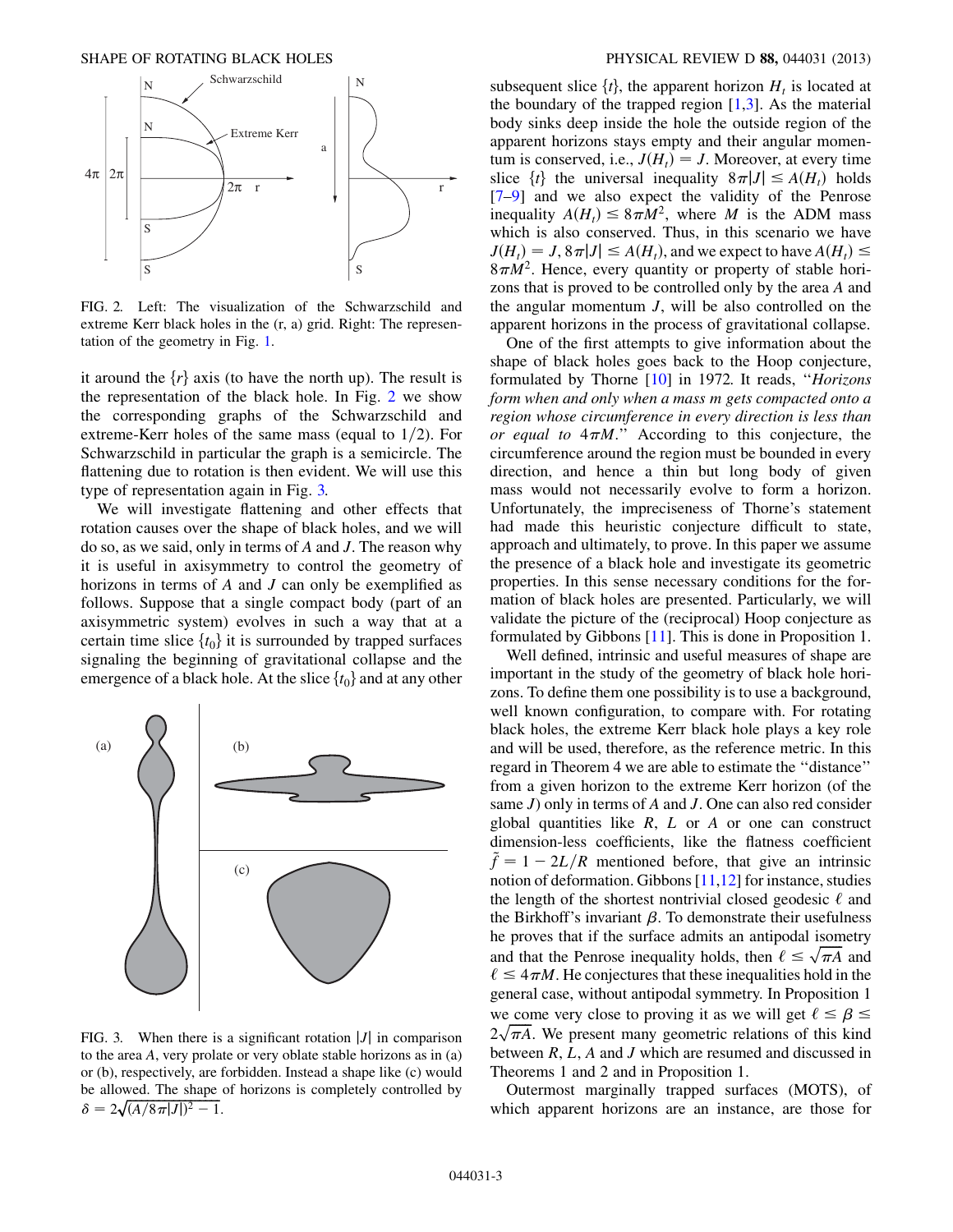<span id="page-2-0"></span>

FIG. 2. Left: The visualization of the Schwarzschild and extreme Kerr black holes in the (r, a) grid. Right: The representation of the geometry in Fig. [1](#page-1-0).

it around the  $\{r\}$  axis (to have the north up). The result is the representation of the black hole. In Fig. [2](#page-2-0) we show the corresponding graphs of the Schwarzschild and extreme-Kerr holes of the same mass (equal to  $1/2$ ). For Schwarzschild in particular the graph is a semicircle. The flattening due to rotation is then evident. We will use this type of representation again in Fig. [3.](#page-2-1)

We will investigate flattening and other effects that rotation causes over the shape of black holes, and we will do so, as we said, only in terms of  $A$  and  $J$ . The reason why it is useful in axisymmetry to control the geometry of horizons in terms of A and J can only be exemplified as follows. Suppose that a single compact body (part of an axisymmetric system) evolves in such a way that at a certain time slice  $\{t_0\}$  it is surrounded by trapped surfaces signaling the beginning of gravitational collapse and the emergence of a black hole. At the slice  $\{t_0\}$  and at any other

<span id="page-2-1"></span>

FIG. 3. When there is a significant rotation  $|J|$  in comparison to the area A, very prolate or very oblate stable horizons as in (a) or (b), respectively, are forbidden. Instead a shape like (c) would be allowed. The shape of horizons is completely controlled by  $\delta = 2\sqrt{(A/8\pi|J|)^2 - 1}.$ 

subsequent slice  $\{t\}$ , the apparent horizon  $H_t$  is located at the boundary of the trapped region  $[1,3]$  $[1,3]$  $[1,3]$ . As the material body sinks deep inside the hole the outside region of the apparent horizons stays empty and their angular momentum is conserved, i.e.,  $J(H_t) = J$ . Moreover, at every time slice  $\{t\}$  the universal inequality  $8\pi|J| \leq A(H_t)$  holds [\[7–](#page-16-6)[9](#page-16-7)] and we also expect the validity of the Penrose inequality  $A(H_t) \leq 8\pi M^2$ , where M is the ADM mass which is also conserved. Thus, in this scenario we have  $J(H_t) = J$ ,  $8\pi |J| \leq A(H_t)$ , and we expect to have  $A(H_t) \leq$  $8\pi M^2$ . Hence, every quantity or property of stable horizons that is proved to be controlled only by the area A and the angular momentum J, will be also controlled on the apparent horizons in the process of gravitational collapse.

One of the first attempts to give information about the shape of black holes goes back to the Hoop conjecture, formulated by Thorne [\[10](#page-16-8)] in 1972. It reads, ''Horizons form when and only when a mass m gets compacted onto a region whose circumference in every direction is less than or equal to  $4\pi M$ ." According to this conjecture, the circumference around the region must be bounded in every direction, and hence a thin but long body of given mass would not necessarily evolve to form a horizon. Unfortunately, the impreciseness of Thorne's statement had made this heuristic conjecture difficult to state, approach and ultimately, to prove. In this paper we assume the presence of a black hole and investigate its geometric properties. In this sense necessary conditions for the formation of black holes are presented. Particularly, we will validate the picture of the (reciprocal) Hoop conjecture as formulated by Gibbons [\[11](#page-16-9)]. This is done in Proposition 1.

Well defined, intrinsic and useful measures of shape are important in the study of the geometry of black hole horizons. To define them one possibility is to use a background, well known configuration, to compare with. For rotating black holes, the extreme Kerr black hole plays a key role and will be used, therefore, as the reference metric. In this regard in Theorem 4 we are able to estimate the ''distance'' from a given horizon to the extreme Kerr horizon (of the same  $J$ ) only in terms of  $A$  and  $J$ . One can also red consider global quantities like  $R$ ,  $L$  or  $A$  or one can construct dimension-less coefficients, like the flatness coefficient  $\tilde{f} = 1 - 2L/R$  mentioned before, that give an intrinsic notion of deformation. Gibbons [[11](#page-16-9),[12](#page-16-10)] for instance, studies the length of the shortest nontrivial closed geodesic  $\ell$  and the Birkhoff's invariant  $\beta$ . To demonstrate their usefulness he proves that if the surface admits an antipodal isometry and that the Penrose inequality holds, then  $\ell \leq \sqrt{\pi A}$  and  $\ell \leq 4\pi M$ . He conjectures that these inequalities hold in the general case, without antipodal symmetry. In Proposition 1 we come very close to proving it as we will get  $\ell \leq \beta \leq$  $2\sqrt{\pi A}$ . We present many geometric relations of this kind between  $R, L, A$  and  $J$  which are resumed and discussed in Theorems 1 and 2 and in Proposition 1.

Outermost marginally trapped surfaces (MOTS), of which apparent horizons are an instance, are those for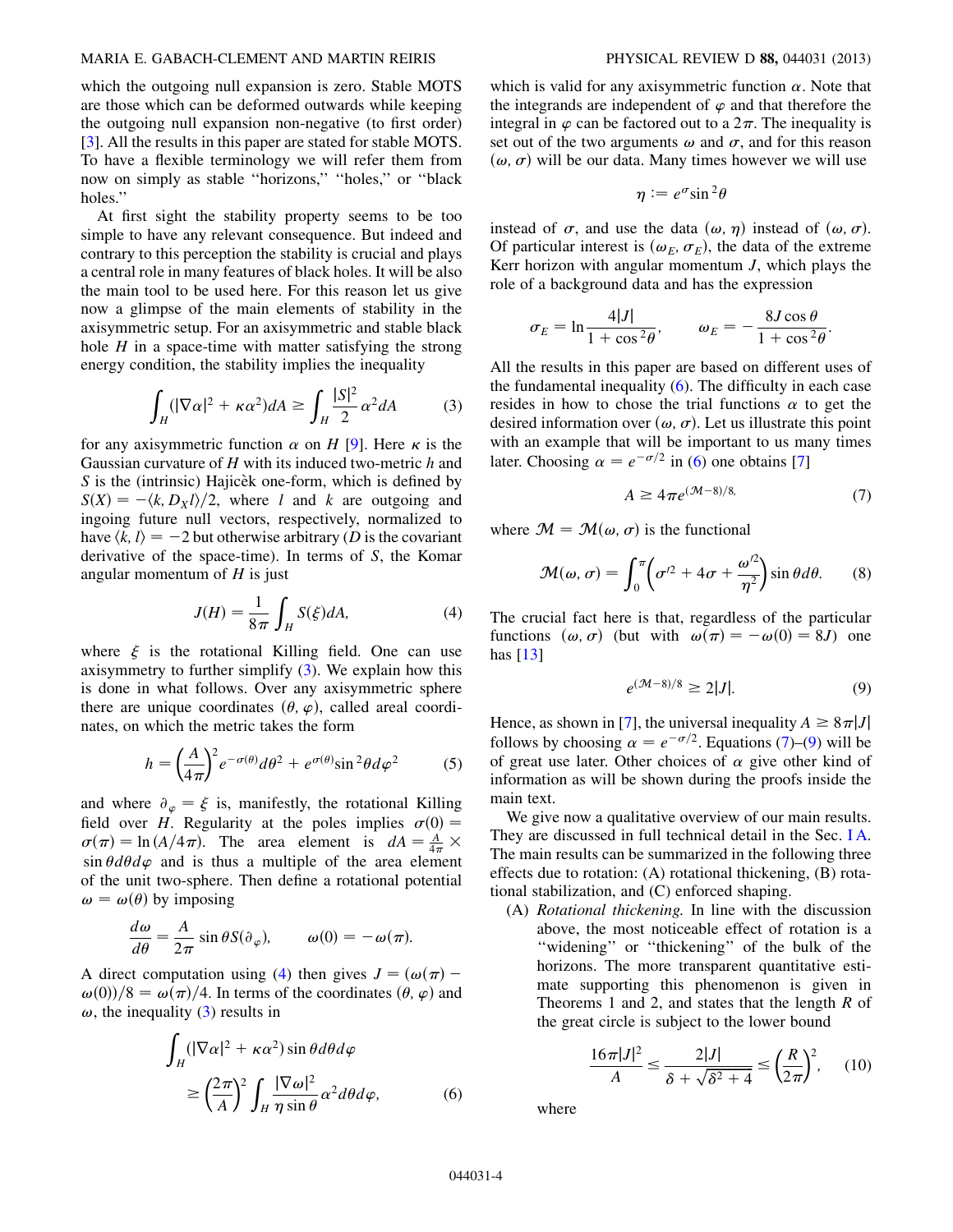which the outgoing null expansion is zero. Stable MOTS are those which can be deformed outwards while keeping the outgoing null expansion non-negative (to first order) [\[3\]](#page-16-2). All the results in this paper are stated for stable MOTS. To have a flexible terminology we will refer them from now on simply as stable ''horizons,'' ''holes,'' or ''black holes.''

At first sight the stability property seems to be too simple to have any relevant consequence. But indeed and contrary to this perception the stability is crucial and plays a central role in many features of black holes. It will be also the main tool to be used here. For this reason let us give now a glimpse of the main elements of stability in the axisymmetric setup. For an axisymmetric and stable black hole  $H$  in a space-time with matter satisfying the strong energy condition, the stability implies the inequality

<span id="page-3-0"></span>
$$
\int_{H} (|\nabla \alpha|^{2} + \kappa \alpha^{2}) dA \ge \int_{H} \frac{|S|^{2}}{2} \alpha^{2} dA \qquad (3)
$$

for any axisymmetric function  $\alpha$  on H [\[9](#page-16-7)]. Here  $\kappa$  is the Gaussian curvature of  $H$  with its induced two-metric  $h$  and  $S$  is the (intrinsic) Hajicek one-form, which is defined by  $S(X) = -\langle k, D_Xl \rangle/2$ , where l and k are outgoing and ingoing future null vectors, respectively, normalized to have  $\langle k, l \rangle = -2$  but otherwise arbitrary (D is the covariant derivative of the space-time). In terms of S, the Komar angular momentum of  $H$  is just

$$
J(H) = \frac{1}{8\pi} \int_{H} S(\xi) dA,
$$
 (4)

<span id="page-3-1"></span>where  $\xi$  is the rotational Killing field. One can use axisymmetry to further simplify ([3](#page-3-0)). We explain how this is done in what follows. Over any axisymmetric sphere there are unique coordinates  $(\theta, \varphi)$ , called areal coordinates, on which the metric takes the form

<span id="page-3-6"></span>
$$
h = \left(\frac{A}{4\pi}\right)^2 e^{-\sigma(\theta)} d\theta^2 + e^{\sigma(\theta)} \sin^2\theta d\varphi^2 \tag{5}
$$

and where  $\partial_{\varphi} = \xi$  is, manifestly, the rotational Killing field over H. Regularity at the poles implies  $\sigma(0) =$  $\sigma(\pi) = \ln(A/4\pi)$ . The area element is  $dA = \frac{A}{4\pi} \times$  $\sin \theta d\theta d\varphi$  and is thus a multiple of the area element of the unit two-sphere. Then define a rotational potential  $\omega = \omega(\theta)$  by imposing

$$
\frac{d\omega}{d\theta} = \frac{A}{2\pi} \sin \theta S(\partial_{\varphi}), \qquad \omega(0) = -\omega(\pi).
$$

<span id="page-3-2"></span>A direct computation using ([4](#page-3-1)) then gives  $J = (\omega(\pi) - \mathbb{I})$  $\omega(0)/8 = \omega(\pi)/4$ . In terms of the coordinates  $(\theta, \varphi)$  and  $\omega$ , the inequality [\(3](#page-3-0)) results in

$$
\int_{H} (|\nabla \alpha|^{2} + \kappa \alpha^{2}) \sin \theta d\theta d\varphi
$$
\n
$$
\geq \left(\frac{2\pi}{A}\right)^{2} \int_{H} \frac{|\nabla \omega|^{2}}{\eta \sin \theta} \alpha^{2} d\theta d\varphi, \tag{6}
$$

which is valid for any axisymmetric function  $\alpha$ . Note that the integrands are independent of  $\varphi$  and that therefore the integral in  $\varphi$  can be factored out to a  $2\pi$ . The inequality is set out of the two arguments  $\omega$  and  $\sigma$ , and for this reason  $(\omega, \sigma)$  will be our data. Many times however we will use

$$
\eta := e^{\sigma} \sin^2 \theta
$$

instead of  $\sigma$ , and use the data  $(\omega, \eta)$  instead of  $(\omega, \sigma)$ . Of particular interest is  $(\omega_E, \sigma_E)$ , the data of the extreme Kerr horizon with angular momentum  $J$ , which plays the role of a background data and has the expression

$$
\sigma_E = \ln \frac{4|J|}{1 + \cos^2 \theta}, \qquad \omega_E = -\frac{8J \cos \theta}{1 + \cos^2 \theta}.
$$

All the results in this paper are based on different uses of the fundamental inequality  $(6)$ . The difficulty in each case resides in how to chose the trial functions  $\alpha$  to get the desired information over  $(\omega, \sigma)$ . Let us illustrate this point with an example that will be important to us many times later. Choosing  $\alpha = e^{-\sigma/2}$  in ([6\)](#page-3-2) one obtains [\[7](#page-16-6)]

$$
A \ge 4\pi e^{(\mathcal{M}-8)/8}.\tag{7}
$$

<span id="page-3-7"></span><span id="page-3-3"></span>where  $\mathcal{M} = \mathcal{M}(\omega, \sigma)$  is the functional

$$
\mathcal{M}(\omega,\sigma) = \int_0^{\pi} \left( \sigma^2 + 4\sigma + \frac{\omega^2}{\eta^2} \right) \sin \theta d\theta. \tag{8}
$$

<span id="page-3-4"></span>The crucial fact here is that, regardless of the particular functions  $(\omega, \sigma)$  (but with  $\omega(\pi) = -\omega(0) = 8J$ ) one has  $[13]$ 

$$
e^{(\mathcal{M}-8)/8} \ge 2|J|.\tag{9}
$$

Hence, as shown in [\[7](#page-16-6)], the universal inequality  $A \geq 8 \pi |J|$ follows by choosing  $\alpha = e^{-\sigma/2}$ . Equations [\(7](#page-3-3))–([9\)](#page-3-4) will be of great use later. Other choices of  $\alpha$  give other kind of information as will be shown during the proofs inside the main text.

We give now a qualitative overview of our main results. They are discussed in full technical detail in the Sec. [I A](#page-4-0). The main results can be summarized in the following three effects due to rotation: (A) rotational thickening, (B) rotational stabilization, and (C) enforced shaping.

<span id="page-3-5"></span>(A) Rotational thickening. In line with the discussion above, the most noticeable effect of rotation is a ''widening'' or ''thickening'' of the bulk of the horizons. The more transparent quantitative estimate supporting this phenomenon is given in Theorems 1 and 2, and states that the length  $R$  of the great circle is subject to the lower bound

$$
\frac{16\pi|J|^2}{A} \le \frac{2|J|}{\delta + \sqrt{\delta^2 + 4}} \le \left(\frac{R}{2\pi}\right)^2, \quad (10)
$$

where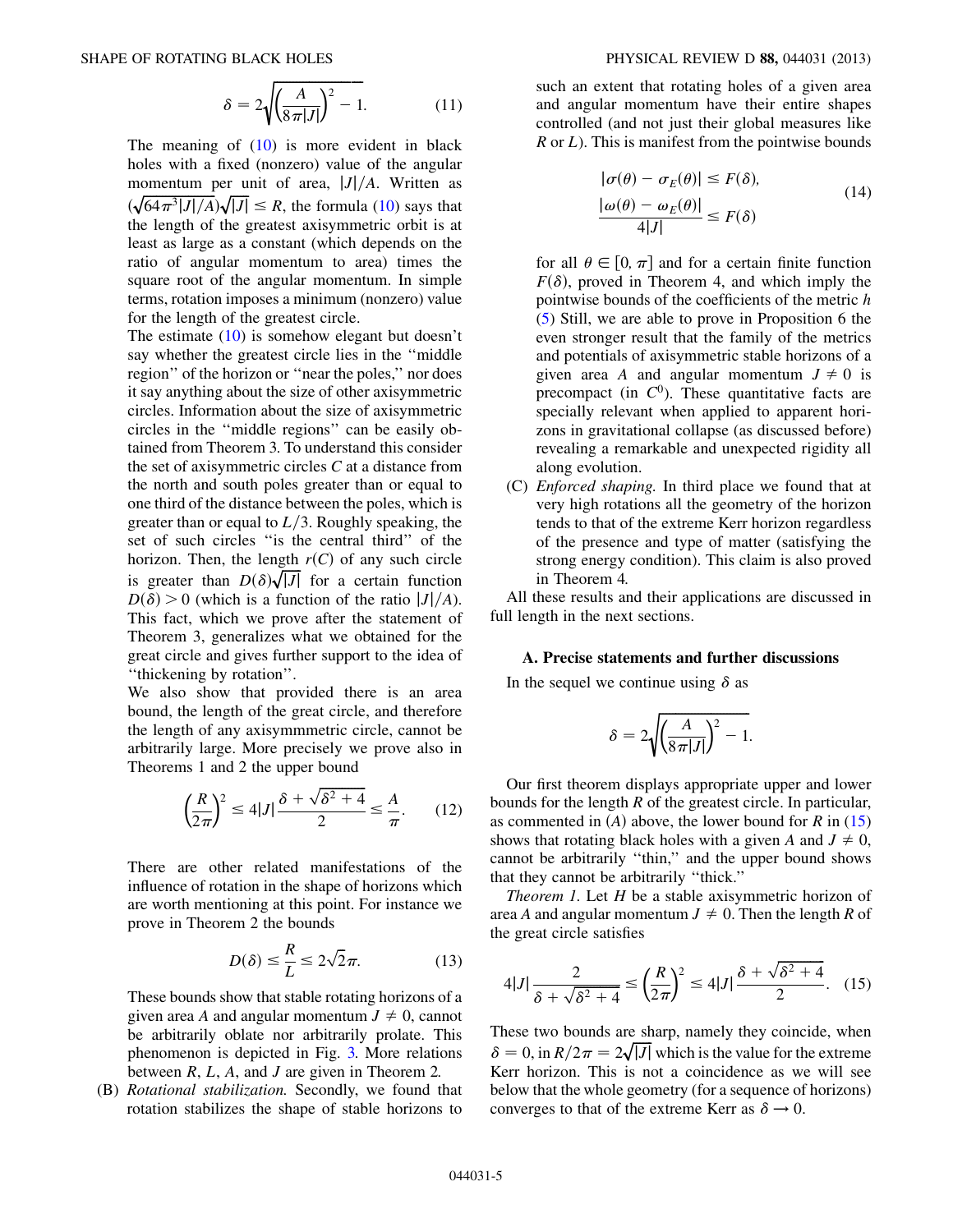$$
\delta = 2\sqrt{\left(\frac{A}{8\pi|J|}\right)^2 - 1}.\tag{11}
$$

The meaning of  $(10)$  is more evident in black holes with a fixed (nonzero) value of the angular momentum per unit of area,  $|J|/A$ . Written as  $(\sqrt{64\pi^3|J|/A})\sqrt{|J|} \le R$ , the formula [\(10](#page-3-5)) says that the length of the greatest axisymmetric orbit is at least as large as a constant (which depends on the ratio of angular momentum to area) times the square root of the angular momentum. In simple terms, rotation imposes a minimum (nonzero) value for the length of the greatest circle.

The estimate [\(10\)](#page-3-5) is somehow elegant but doesn't say whether the greatest circle lies in the ''middle region'' of the horizon or ''near the poles,'' nor does it say anything about the size of other axisymmetric circles. Information about the size of axisymmetric circles in the ''middle regions'' can be easily obtained from Theorem 3. To understand this consider the set of axisymmetric circles C at a distance from the north and south poles greater than or equal to one third of the distance between the poles, which is greater than or equal to  $L/3$ . Roughly speaking, the set of such circles ''is the central third'' of the horizon. Then, the length  $r(C)$  of any such circle is greater than  $D(\delta)\sqrt{|J|}$  for a certain function  $D(\delta) > 0$  (which is a function of the ratio  $|J|/A$ ). This fact, which we prove after the statement of Theorem 3, generalizes what we obtained for the great circle and gives further support to the idea of ''thickening by rotation''.

We also show that provided there is an area bound, the length of the great circle, and therefore the length of any axisymmmetric circle, cannot be arbitrarily large. More precisely we prove also in Theorems 1 and 2 the upper bound

$$
\left(\frac{R}{2\pi}\right)^2 \le 4|J|\frac{\delta + \sqrt{\delta^2 + 4}}{2} \le \frac{A}{\pi}.\tag{12}
$$

There are other related manifestations of the influence of rotation in the shape of horizons which are worth mentioning at this point. For instance we prove in Theorem 2 the bounds

$$
D(\delta) \le \frac{R}{L} \le 2\sqrt{2}\pi. \tag{13}
$$

These bounds show that stable rotating horizons of a given area A and angular momentum  $J \neq 0$ , cannot be arbitrarily oblate nor arbitrarily prolate. This phenomenon is depicted in Fig. [3.](#page-2-1) More relations between  $R, L, A$ , and  $J$  are given in Theorem 2.

(B) Rotational stabilization. Secondly, we found that rotation stabilizes the shape of stable horizons to

such an extent that rotating holes of a given area and angular momentum have their entire shapes controlled (and not just their global measures like  $R$  or  $L$ ). This is manifest from the pointwise bounds

$$
|\sigma(\theta) - \sigma_E(\theta)| \le F(\delta),
$$
  
\n
$$
\frac{|\omega(\theta) - \omega_E(\theta)|}{4|J|} \le F(\delta)
$$
\n(14)

for all  $\theta \in [0, \pi]$  and for a certain finite function  $F(\delta)$ , proved in Theorem 4, and which imply the pointwise bounds of the coefficients of the metric h [\(5](#page-3-6)) Still, we are able to prove in Proposition 6 the even stronger result that the family of the metrics and potentials of axisymmetric stable horizons of a given area A and angular momentum  $J \neq 0$  is precompact (in  $C^0$ ). These quantitative facts are specially relevant when applied to apparent horizons in gravitational collapse (as discussed before) revealing a remarkable and unexpected rigidity all along evolution.

(C) Enforced shaping. In third place we found that at very high rotations all the geometry of the horizon tends to that of the extreme Kerr horizon regardless of the presence and type of matter (satisfying the strong energy condition). This claim is also proved in Theorem 4.

All these results and their applications are discussed in full length in the next sections.

# A. Precise statements and further discussions

<span id="page-4-0"></span>In the sequel we continue using  $\delta$  as

$$
\delta = 2\sqrt{\left(\frac{A}{8\pi|J|}\right)^2 - 1}.
$$

Our first theorem displays appropriate upper and lower bounds for the length R of the greatest circle. In particular, as commented in  $(A)$  above, the lower bound for R in  $(15)$ shows that rotating black holes with a given A and  $J \neq 0$ , cannot be arbitrarily ''thin,'' and the upper bound shows that they cannot be arbitrarily ''thick.''

<span id="page-4-1"></span>Theorem 1. Let  $H$  be a stable axisymmetric horizon of area A and angular momentum  $J \neq 0$ . Then the length R of the great circle satisfies

$$
4|J| \frac{2}{\delta + \sqrt{\delta^2 + 4}} \le \left(\frac{R}{2\pi}\right)^2 \le 4|J| \frac{\delta + \sqrt{\delta^2 + 4}}{2}.
$$
 (15)

These two bounds are sharp, namely they coincide, when  $\delta = 0$ , in  $R/2\pi = 2\sqrt{|J|}$  which is the value for the extreme Kerr horizon. This is not a coincidence as we will see below that the whole geometry (for a sequence of horizons) converges to that of the extreme Kerr as  $\delta \rightarrow 0$ .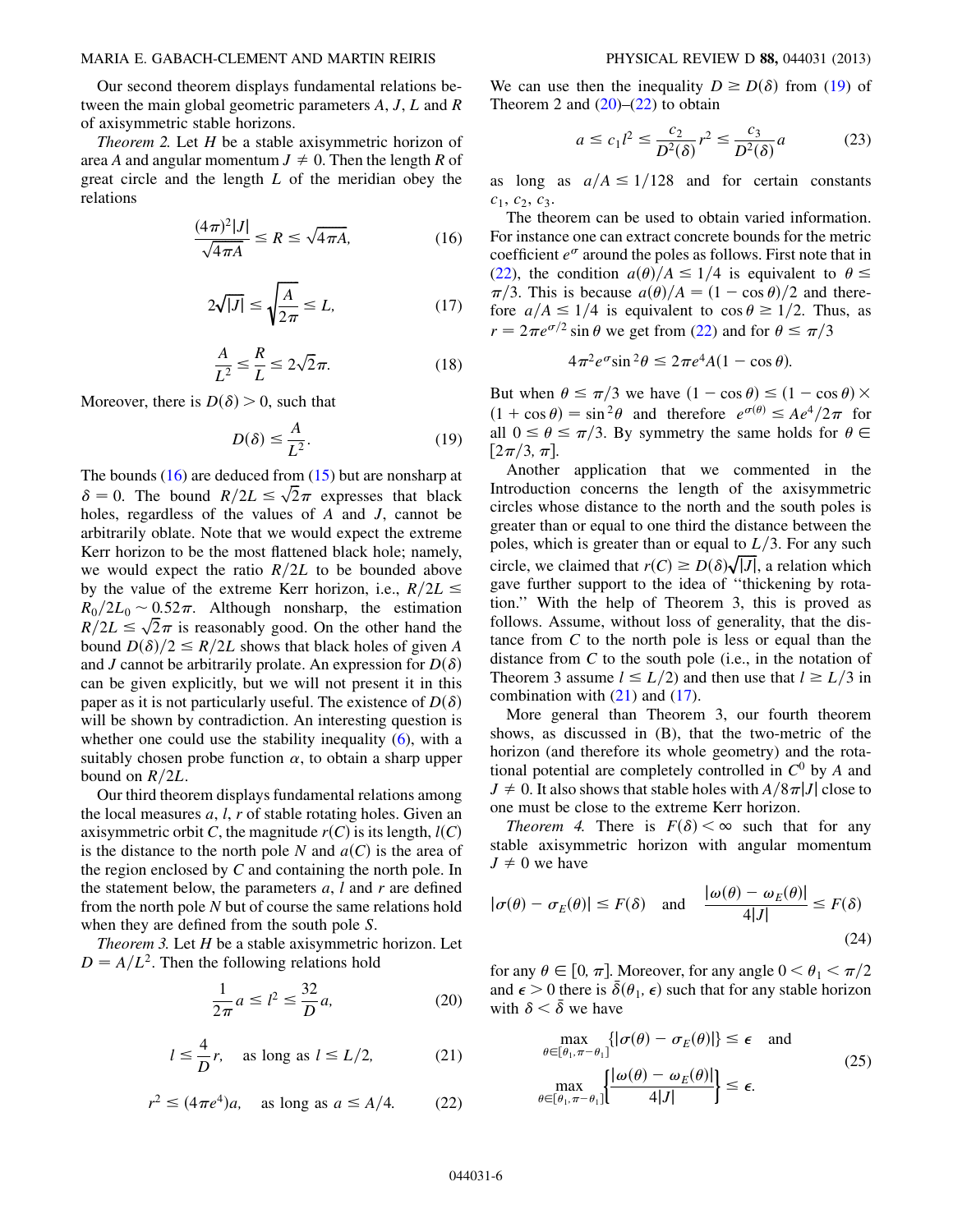Our second theorem displays fundamental relations between the main global geometric parameters A, J, L and R of axisymmetric stable horizons.

<span id="page-5-5"></span>*Theorem 2.* Let  $H$  be a stable axisymmetric horizon of area A and angular momentum  $J \neq 0$ . Then the length R of great circle and the length L of the meridian obey the relations

$$
\frac{(4\pi)^2|J|}{\sqrt{4\pi A}} \le R \le \sqrt{4\pi A},\tag{16}
$$

$$
2\sqrt{|J|} \le \sqrt{\frac{A}{2\pi}} \le L,\tag{17}
$$

$$
\frac{A}{L^2} \le \frac{R}{L} \le 2\sqrt{2}\pi.
$$
 (18)

<span id="page-5-1"></span><span id="page-5-0"></span>Moreover, there is  $D(\delta) > 0$ , such that

$$
D(\delta) \le \frac{A}{L^2}.\tag{19}
$$

The bounds  $(16)$  $(16)$  $(16)$  are deduced from  $(15)$  $(15)$  $(15)$  but are nonsharp at  $\delta = 0$ . The bound  $R/2L \le \sqrt{2}\pi$  expresses that black holes, regardless of the values of A and J, cannot be arbitrarily oblate. Note that we would expect the extreme Kerr horizon to be the most flattened black hole; namely, we would expect the ratio  $R/2L$  to be bounded above by the value of the extreme Kerr horizon, i.e.,  $R/2L \leq$  $R_0/2L_0 \sim 0.52\pi$ . Although nonsharp, the estimation  $R/2L \leq \sqrt{2\pi}$  is reasonably good. On the other hand the bound  $D(\delta)/2 \leq R/2L$  shows that black holes of given A and J cannot be arbitrarily prolate. An expression for  $D(\delta)$ can be given explicitly, but we will not present it in this paper as it is not particularly useful. The existence of  $D(\delta)$ will be shown by contradiction. An interesting question is whether one could use the stability inequality  $(6)$ , with a suitably chosen probe function  $\alpha$ , to obtain a sharp upper bound on  $R/2L$ .

Our third theorem displays fundamental relations among the local measures  $a, l, r$  of stable rotating holes. Given an axisymmetric orbit C, the magnitude  $r(C)$  is its length,  $l(C)$ is the distance to the north pole N and  $a(C)$  is the area of the region enclosed by C and containing the north pole. In the statement below, the parameters  $a$ ,  $l$  and  $r$  are defined from the north pole N but of course the same relations hold when they are defined from the south pole S.

<span id="page-5-4"></span><span id="page-5-3"></span>*Theorem 3.* Let  $H$  be a stable axisymmetric horizon. Let  $D = A/L<sup>2</sup>$ . Then the following relations hold

$$
\frac{1}{2\pi}a \le l^2 \le \frac{32}{D}a,\tag{20}
$$

$$
l \leq \frac{4}{D}r
$$
, as long as  $l \leq L/2$ , (21)

$$
r^2 \le (4\pi e^4)a, \quad \text{as long as } a \le A/4. \tag{22}
$$

<span id="page-5-2"></span>We can use then the inequality  $D \ge D(\delta)$  from ([19](#page-5-1)) of Theorem 2 and  $(20)$  $(20)$  $(20)$ – $(22)$  to obtain

$$
a \le c_1 l^2 \le \frac{c_2}{D^2(\delta)} r^2 \le \frac{c_3}{D^2(\delta)} a \tag{23}
$$

as long as  $a/A \le 1/128$  and for certain constants  $c_1, c_2, c_3.$ 

The theorem can be used to obtain varied information. For instance one can extract concrete bounds for the metric coefficient  $e^{\sigma}$  around the poles as follows. First note that in [\(22\)](#page-5-3), the condition  $a(\theta)/A \leq 1/4$  is equivalent to  $\theta \leq$  $\pi/3$ . This is because  $a(\theta)/A = (1 - \cos \theta)/2$  and therefore  $a/A \leq 1/4$  is equivalent to  $\cos \theta \geq 1/2$ . Thus, as  $r = 2\pi e^{\sigma/2} \sin \theta$  we get from [\(22\)](#page-5-3) and for  $\theta \le \pi/3$ 

$$
4\pi^2 e^{\sigma} \sin^2 \theta \le 2\pi e^4 A (1 - \cos \theta).
$$

But when  $\theta \le \pi/3$  we have  $(1 - \cos \theta) \le (1 - \cos \theta) \times$  $(1 + \cos \theta) = \sin^2 \theta$  and therefore  $e^{\sigma(\theta)} \leq Ae^4/2\pi$  for all  $0 \le \theta \le \pi/3$ . By symmetry the same holds for  $\theta \in$  $[2\pi/3, \pi]$ .

Another application that we commented in the Introduction concerns the length of the axisymmetric circles whose distance to the north and the south poles is greater than or equal to one third the distance between the poles, which is greater than or equal to  $L/3$ . For any such circle, we claimed that  $r(C) \geq D(\delta) \sqrt{|J|}$ , a relation which gave further support to the idea of ''thickening by rotation.'' With the help of Theorem 3, this is proved as follows. Assume, without loss of generality, that the distance from  $C$  to the north pole is less or equal than the distance from  $C$  to the south pole (i.e., in the notation of Theorem 3 assume  $l \leq L/2$  and then use that  $l \geq L/3$  in combination with  $(21)$  $(21)$  $(21)$  and  $(17)$ .

More general than Theorem 3, our fourth theorem shows, as discussed in (B), that the two-metric of the horizon (and therefore its whole geometry) and the rotational potential are completely controlled in  $C^0$  by A and  $J \neq 0$ . It also shows that stable holes with  $A/8\pi|J|$  close to one must be close to the extreme Kerr horizon.

Theorem 4. There is  $F(\delta) < \infty$  such that for any stable axisymmetric horizon with angular momentum  $J \neq 0$  we have

$$
|\sigma(\theta) - \sigma_E(\theta)| \le F(\delta)
$$
 and  $\frac{|\omega(\theta) - \omega_E(\theta)|}{4|J|} \le F(\delta)$  (24)

for any  $\theta \in [0, \pi]$ . Moreover, for any angle  $0 < \theta_1 < \pi/2$ and  $\epsilon > 0$  there is  $\delta(\theta_1, \epsilon)$  such that for any stable horizon with  $\delta < \overline{\delta}$  we have

$$
\max_{\theta \in [\theta_1, \pi - \theta_1]} \{ |\sigma(\theta) - \sigma_E(\theta)| \} \le \epsilon \quad \text{and}
$$
\n
$$
\max_{\theta \in [\theta_1, \pi - \theta_1]} \{ |\omega(\theta) - \omega_E(\theta)| \} \le \epsilon.
$$
\n(25)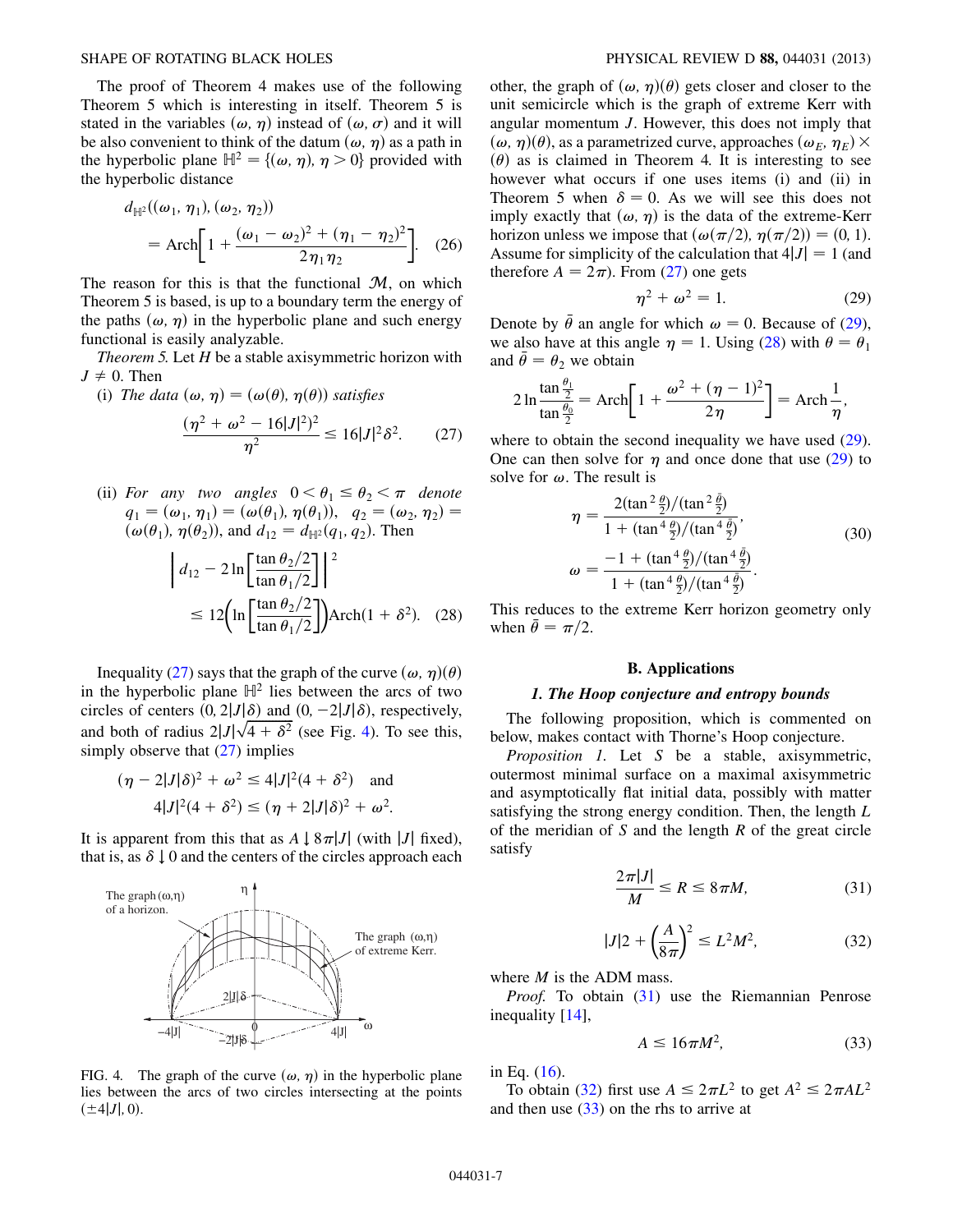The proof of Theorem 4 makes use of the following Theorem 5 which is interesting in itself. Theorem 5 is stated in the variables  $(\omega, \eta)$  instead of  $(\omega, \sigma)$  and it will be also convenient to think of the datum  $(\omega, \eta)$  as a path in the hyperbolic plane  $\mathbb{H}^2 = \{(\omega, \eta), \eta > 0\}$  provided with the hyperbolic distance

$$
d_{\mathbb{H}^2}((\omega_1, \eta_1), (\omega_2, \eta_2))
$$
  
=  $Arch \bigg[ 1 + \frac{(\omega_1 - \omega_2)^2 + (\eta_1 - \eta_2)^2}{2\eta_1 \eta_2} \bigg].$  (26)

The reason for this is that the functional  $M$ , on which Theorem 5 is based, is up to a boundary term the energy of the paths  $(\omega, \eta)$  in the hyperbolic plane and such energy functional is easily analyzable.

Theorem 5. Let  $H$  be a stable axisymmetric horizon with  $J \neq 0$ . Then

- <span id="page-6-0"></span>(i) The data  $(\omega, \eta) = (\omega(\theta), \eta(\theta))$  satisfies  $(\eta^2 + \omega^2 - 16|J|^2)^2$  $\frac{10|J|}{\eta^2} \le 16|J|^2 \delta^2.$  (27)
- <span id="page-6-3"></span>(ii) For any two angles  $0 < \theta_1 \le \theta_2 < \pi$  denote  $q_1 = (\omega_1, \eta_1) = (\omega(\theta_1), \eta(\theta_1)), q_2 = (\omega_2, \eta_2) =$  $(\omega(\theta_1), \eta(\theta_2))$ , and  $d_{12} = d_{\mathbb{H}^2}(q_1, q_2)$ . Then

$$
\begin{aligned} \left| d_{12} - 2 \ln \left[ \frac{\tan \theta_2 / 2}{\tan \theta_1 / 2} \right] \right|^2 \\ &\le 12 \left( \ln \left[ \frac{\tan \theta_2 / 2}{\tan \theta_1 / 2} \right] \right) \text{Arch}(1 + \delta^2). \end{aligned} \tag{28}
$$

Inequality ([27](#page-6-0)) says that the graph of the curve  $(\omega, \eta)(\theta)$ in the hyperbolic plane  $\mathbb{H}^2$  lies between the arcs of two circles of centers  $(0, 2|J|\delta)$  and  $(0, -2|J|\delta)$ , respectively, and both of radius  $2|J|\sqrt{4+\delta^2}$  (see Fig. [4\)](#page-6-1). To see this, simply observe that  $(27)$  implies

$$
(\eta - 2|J|\delta)^2 + \omega^2 \le 4|J|^2(4+\delta^2) \quad \text{and}
$$
  

$$
4|J|^2(4+\delta^2) \le (\eta + 2|J|\delta)^2 + \omega^2.
$$

It is apparent from this that as  $A \downarrow 8\pi |J|$  (with |J| fixed), that is, as  $\delta \downarrow 0$  and the centers of the circles approach each

<span id="page-6-1"></span>

FIG. 4. The graph of the curve  $(\omega, \eta)$  in the hyperbolic plane lies between the arcs of two circles intersecting at the points

 $(\pm 4|J|, 0).$ 

other, the graph of  $(\omega, \eta)(\theta)$  gets closer and closer to the unit semicircle which is the graph of extreme Kerr with angular momentum J. However, this does not imply that  $(\omega, \eta)(\theta)$ , as a parametrized curve, approaches  $(\omega_F, \eta_F) \times$  $(\theta)$  as is claimed in Theorem 4. It is interesting to see however what occurs if one uses items (i) and (ii) in Theorem 5 when  $\delta = 0$ . As we will see this does not imply exactly that  $(\omega, \eta)$  is the data of the extreme-Kerr horizon unless we impose that  $(\omega(\pi/2), \eta(\pi/2)) = (0, 1)$ . Assume for simplicity of the calculation that  $4|J| = 1$  (and therefore  $A = 2\pi$ ). From [\(27\)](#page-6-0) one gets

$$
\eta^2 + \omega^2 = 1. \tag{29}
$$

<span id="page-6-2"></span>Denote by  $\bar{\theta}$  an angle for which  $\omega = 0$ . Because of ([29\)](#page-6-2), we also have at this angle  $\eta = 1$ . Using [\(28\)](#page-6-3) with  $\theta = \theta_1$ and  $\theta = \theta_2$  we obtain

$$
2\ln\frac{\tan\frac{\theta_1}{2}}{\tan\frac{\theta_0}{2}} = \operatorname{Arch}\left[1 + \frac{\omega^2 + (\eta - 1)^2}{2\eta}\right] = \operatorname{Arch}\frac{1}{\eta},
$$

where to obtain the second inequality we have used  $(29)$  $(29)$ . One can then solve for  $\eta$  and once done that use [\(29\)](#page-6-2) to solve for  $\omega$ . The result is

$$
\eta = \frac{2(\tan^2 \frac{\theta}{2})/(\tan^2 \frac{\bar{\theta}}{2})}{1 + (\tan^4 \frac{\theta}{2})/(\tan^4 \frac{\bar{\theta}}{2})},
$$
  
\n
$$
\omega = \frac{-1 + (\tan^4 \frac{\theta}{2})/(\tan^4 \frac{\bar{\theta}}{2})}{1 + (\tan^4 \frac{\theta}{2})/(\tan^4 \frac{\bar{\theta}}{2})}.
$$
\n(30)

This reduces to the extreme Kerr horizon geometry only when  $\bar{\theta} = \pi/2$ .

#### B. Applications

#### 1. The Hoop conjecture and entropy bounds

The following proposition, which is commented on below, makes contact with Thorne's Hoop conjecture.

<span id="page-6-5"></span>Proposition 1. Let S be a stable, axisymmetric, outermost minimal surface on a maximal axisymmetric and asymptotically flat initial data, possibly with matter satisfying the strong energy condition. Then, the length L of the meridian of  $S$  and the length  $R$  of the great circle satisfy

$$
\frac{2\pi|J|}{M} \le R \le 8\pi M,\tag{31}
$$

$$
|J|2 + \left(\frac{A}{8\pi}\right)^2 \le L^2 M^2,\tag{32}
$$

<span id="page-6-4"></span>where  $M$  is the ADM mass.

<span id="page-6-6"></span>*Proof.* To obtain ([31](#page-6-4)) use the Riemannian Penrose inequality [[14\]](#page-16-12),

$$
A \le 16\pi M^2,\tag{33}
$$

in Eq. ([16](#page-5-0)).

To obtain [\(32\)](#page-6-5) first use  $A \leq 2\pi L^2$  to get  $A^2 \leq 2\pi A L^2$ and then use ([33](#page-6-6)) on the rhs to arrive at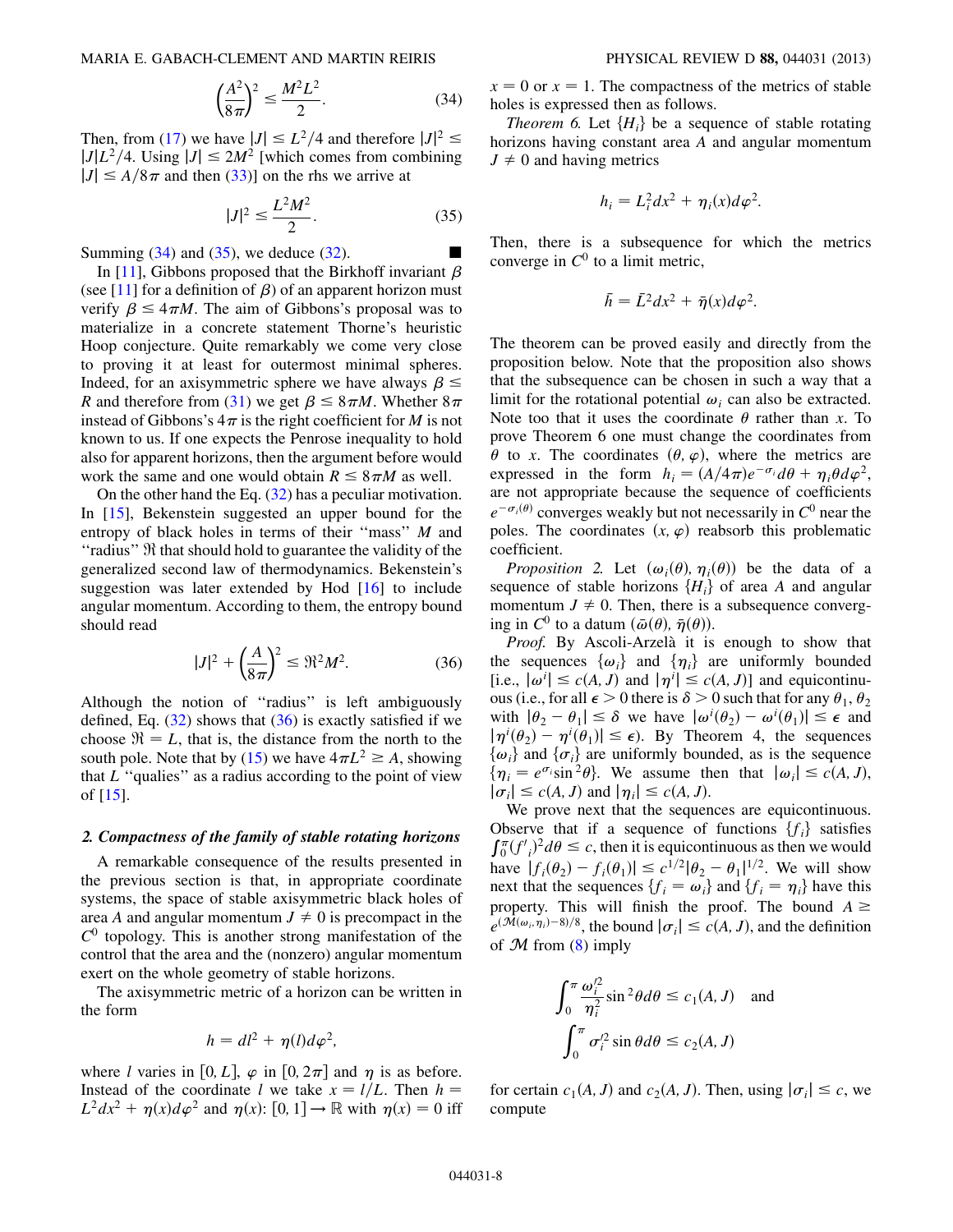$$
\left(\frac{A^2}{8\pi}\right)^2 \le \frac{M^2 L^2}{2}.\tag{34}
$$

<span id="page-7-1"></span><span id="page-7-0"></span>Then, from ([17](#page-5-5)) we have  $|J| \le L^2/4$  and therefore  $|J|^2 \le$  $|J|L^2/4$ . Using  $|J| \leq 2M^2$  [which comes from combining  $|J| \leq A/8\pi$  and then [\(33\)](#page-6-6)] on the rhs we arrive at

$$
|J|^2 \le \frac{L^2 M^2}{2}.\tag{35}
$$

Summing  $(34)$  and  $(35)$  $(35)$  $(35)$ , we deduce  $(32)$  $(32)$  $(32)$ .

In [[11\]](#page-16-9), Gibbons proposed that the Birkhoff invariant  $\beta$ (see [[11](#page-16-9)] for a definition of  $\beta$ ) of an apparent horizon must verify  $\beta \leq 4\pi M$ . The aim of Gibbons's proposal was to materialize in a concrete statement Thorne's heuristic Hoop conjecture. Quite remarkably we come very close to proving it at least for outermost minimal spheres. Indeed, for an axisymmetric sphere we have always  $\beta \leq$ R and therefore from ([31](#page-6-4)) we get  $\beta \leq 8\pi M$ . Whether  $8\pi$ instead of Gibbons's  $4\pi$  is the right coefficient for M is not known to us. If one expects the Penrose inequality to hold also for apparent horizons, then the argument before would work the same and one would obtain  $R \leq 8 \pi M$  as well.

On the other hand the Eq. ([32](#page-6-5)) has a peculiar motivation. In [[15](#page-16-13)], Bekenstein suggested an upper bound for the entropy of black holes in terms of their "mass" M and ''radius'' R that should hold to guarantee the validity of the generalized second law of thermodynamics. Bekenstein's suggestion was later extended by Hod [\[16\]](#page-16-14) to include angular momentum. According to them, the entropy bound should read

$$
|J|^2 + \left(\frac{A}{8\pi}\right)^2 \le \Re^2 M^2. \tag{36}
$$

<span id="page-7-2"></span>Although the notion of ''radius'' is left ambiguously defined, Eq.  $(32)$  shows that  $(36)$  $(36)$  is exactly satisfied if we choose  $\mathfrak{R} = L$ , that is, the distance from the north to the south pole. Note that by [\(15\)](#page-4-1) we have  $4\pi L^2 \ge A$ , showing that  $L$  "qualies" as a radius according to the point of view of [\[15\]](#page-16-13).

## 2. Compactness of the family of stable rotating horizons

A remarkable consequence of the results presented in the previous section is that, in appropriate coordinate systems, the space of stable axisymmetric black holes of area A and angular momentum  $J \neq 0$  is precompact in the  $C^0$  topology. This is another strong manifestation of the control that the area and the (nonzero) angular momentum exert on the whole geometry of stable horizons.

The axisymmetric metric of a horizon can be written in the form

$$
h = dl^2 + \eta(l)d\varphi^2,
$$

where l varies in [0, L],  $\varphi$  in [0,  $2\pi$ ] and  $\eta$  is as before. Instead of the coordinate l we take  $x = l/L$ . Then  $h =$  $L^2 dx^2 + \eta(x) d\varphi^2$  and  $\eta(x)$ :  $[0, 1] \rightarrow \mathbb{R}$  with  $\eta(x) = 0$  iff  $x = 0$  or  $x = 1$ . The compactness of the metrics of stable holes is expressed then as follows.

*Theorem 6.* Let  ${H<sub>i</sub>}$  be a sequence of stable rotating horizons having constant area A and angular momentum  $J \neq 0$  and having metrics

$$
h_i = L_i^2 dx^2 + \eta_i(x) d\varphi^2.
$$

Then, there is a subsequence for which the metrics converge in  $C^0$  to a limit metric,

$$
\bar{h} = \bar{L}^2 dx^2 + \bar{\eta}(x) d\varphi^2.
$$

The theorem can be proved easily and directly from the proposition below. Note that the proposition also shows that the subsequence can be chosen in such a way that a limit for the rotational potential  $\omega_i$  can also be extracted. Note too that it uses the coordinate  $\theta$  rather than x. To prove Theorem 6 one must change the coordinates from  $\theta$  to x. The coordinates  $(\theta, \varphi)$ , where the metrics are expressed in the form  $h_i = (A/4\pi)e^{-\sigma_i}d\theta + \eta_i\theta d\varphi^2$ , are not appropriate because the sequence of coefficients  $e^{-\sigma_i(\theta)}$  converges weakly but not necessarily in  $C^0$  near the poles. The coordinates  $(x, \varphi)$  reabsorb this problematic coefficient.

*Proposition 2.* Let  $(\omega_i(\theta), \eta_i(\theta))$  be the data of a sequence of stable horizons  ${H<sub>i</sub>}$  of area A and angular momentum  $J \neq 0$ . Then, there is a subsequence converging in  $C^0$  to a datum  $(\bar{\omega}(\theta), \bar{\eta}(\theta))$ .

Proof. By Ascoli-Arzelà it is enough to show that the sequences  $\{\omega_i\}$  and  $\{\eta_i\}$  are uniformly bounded [i.e.,  $|\omega^i| \le c(A, J)$  and  $|\eta^i| \le c(A, J)$ ] and equicontinuous (i.e., for all  $\epsilon > 0$  there is  $\delta > 0$  such that for any  $\theta_1, \theta_2$ with  $|\theta_2 - \theta_1| \le \delta$  we have  $|\omega^i(\theta_2) - \omega^i(\theta_1)| \le \epsilon$  and  $|\eta'(\theta_2) - \eta'(\theta_1)| \le \epsilon$ ). By Theorem 4, the sequences  $\{\omega_i\}$  and  $\{\sigma_i\}$  are uniformly bounded, as is the sequence  $\{\eta_i = e^{\sigma_i} \sin^2 \theta\}$ . We assume then that  $|\omega_i| \leq c(A, J)$ ,  $|\sigma_i| \le c(A, J)$  and  $|\eta_i| \le c(A, J)$ .

We prove next that the sequences are equicontinuous. Observe that if a sequence of functions  $\{f_i\}$  satisfies  $\int_0^{\pi} (f'_i)^2 d\theta \leq c$ , then it is equicontinuous as then we would have  $|f_i(\theta_2) - f_i(\theta_1)| \leq c^{1/2} |\theta_2 - \theta_1|^{1/2}$ . We will show next that the sequences  $\{f_i = \omega_i\}$  and  $\{f_i = \eta_i\}$  have this property. This will finish the proof. The bound  $A \geq$  $e^{(\mathcal{M}(\omega_i, \eta_i)-8)/8}$ , the bound  $|\sigma_i| \le c(A, J)$ , and the definition of  $M$  from ([8\)](#page-3-7) imply

$$
\int_0^\pi \frac{\omega_i'^2}{\eta_i^2} \sin^2 \theta d\theta \le c_1(A, J) \text{ and}
$$

$$
\int_0^\pi \sigma_i'^2 \sin \theta d\theta \le c_2(A, J)
$$

for certain  $c_1(A, J)$  and  $c_2(A, J)$ . Then, using  $|\sigma_i| \leq c$ , we compute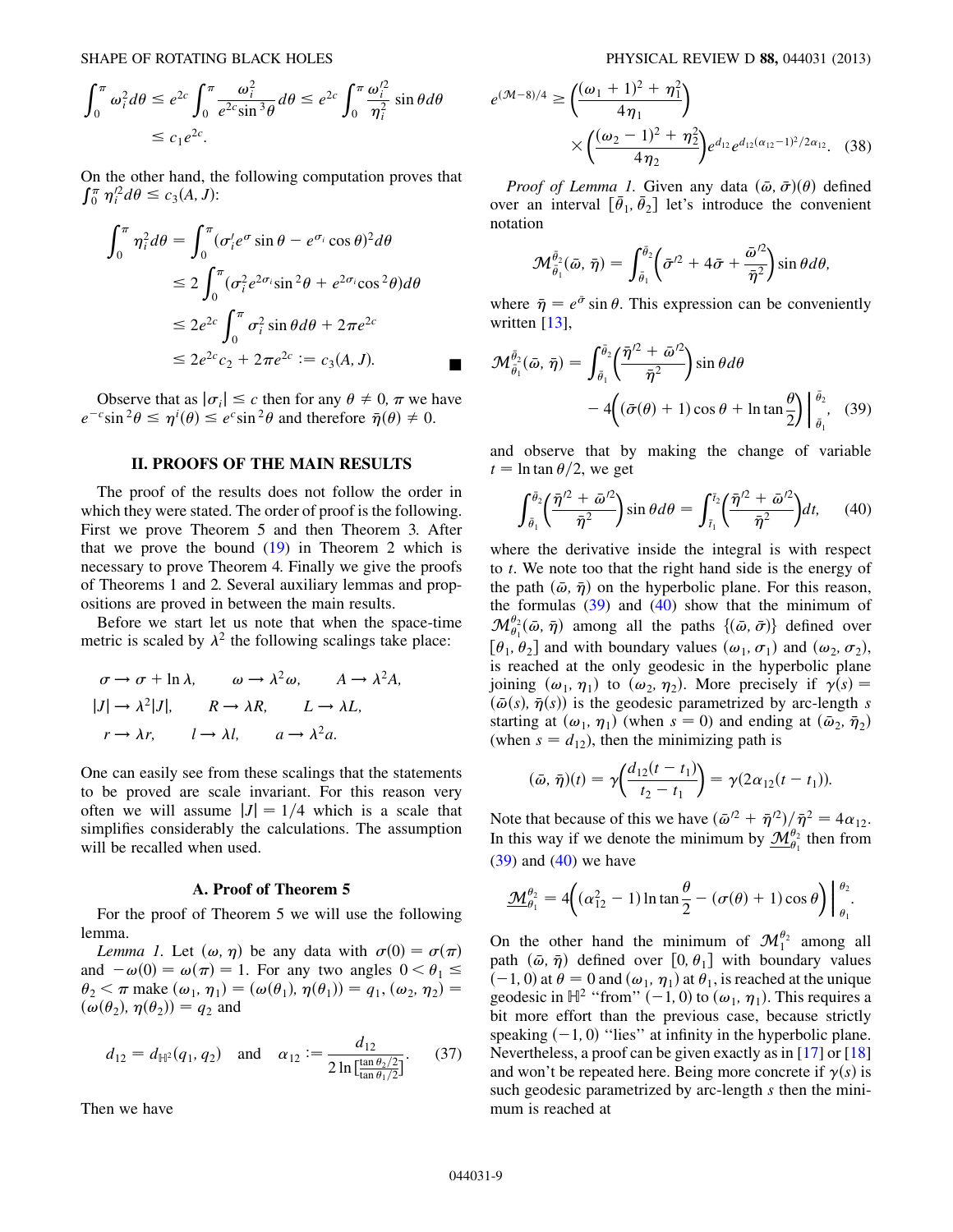SHAPE OF ROTATING BLACK HOLES PHYSICAL REVIEW D 88, 044031 (2013)

$$
\int_0^{\pi} \omega_i^2 d\theta \le e^{2c} \int_0^{\pi} \frac{\omega_i^2}{e^{2c} \sin^3 \theta} d\theta \le e^{2c} \int_0^{\pi} \frac{\omega_i^2}{\eta_i^2} \sin \theta d\theta
$$
  

$$
\le c_1 e^{2c}.
$$

On the other hand, the following computation proves that  $\int_0^{\pi} \eta_i'^2 d\theta \leq c_3(A, J)$ :

$$
\int_0^{\pi} \eta_i^2 d\theta = \int_0^{\pi} (\sigma_i' e^{\sigma} \sin \theta - e^{\sigma_i} \cos \theta)^2 d\theta
$$
  
\n
$$
\leq 2 \int_0^{\pi} (\sigma_i^2 e^{2\sigma_i} \sin^2 \theta + e^{2\sigma_i} \cos^2 \theta) d\theta
$$
  
\n
$$
\leq 2e^{2c} \int_0^{\pi} \sigma_i^2 \sin \theta d\theta + 2\pi e^{2c}
$$
  
\n
$$
\leq 2e^{2c} c_2 + 2\pi e^{2c} := c_3(A, J).
$$

Observe that as  $|\sigma_i| \leq c$  then for any  $\theta \neq 0$ ,  $\pi$  we have  $e^{-c}\sin^2\theta \leq \eta^i(\theta) \leq e^c\sin^2\theta$  and therefore  $\bar{\eta}(\theta) \neq 0$ .

# II. PROOFS OF THE MAIN RESULTS

The proof of the results does not follow the order in which they were stated. The order of proof is the following. First we prove Theorem 5 and then Theorem 3. After that we prove the bound  $(19)$  $(19)$  $(19)$  in Theorem 2 which is necessary to prove Theorem 4. Finally we give the proofs of Theorems 1 and 2. Several auxiliary lemmas and propositions are proved in between the main results.

Before we start let us note that when the space-time metric is scaled by  $\lambda^2$  the following scalings take place:

$$
\sigma \to \sigma + \ln \lambda, \qquad \omega \to \lambda^2 \omega, \qquad A \to \lambda^2 A,
$$
  
\n
$$
|J| \to \lambda^2 |J|, \qquad R \to \lambda R, \qquad L \to \lambda L,
$$
  
\n
$$
r \to \lambda r, \qquad l \to \lambda l, \qquad a \to \lambda^2 a.
$$

One can easily see from these scalings that the statements to be proved are scale invariant. For this reason very often we will assume  $|J| = 1/4$  which is a scale that simplifies considerably the calculations. The assumption will be recalled when used.

#### A. Proof of Theorem 5

For the proof of Theorem 5 we will use the following lemma.

<span id="page-8-3"></span>Lemma 1. Let  $(\omega, \eta)$  be any data with  $\sigma(0) = \sigma(\pi)$ and  $-\omega(0) = \omega(\pi) = 1$ . For any two angles  $0 < \theta_1 \le$  $\theta_2 < \pi$  make  $(\omega_1, \eta_1) = (\omega(\theta_1), \eta(\theta_1)) = q_1, (\omega_2, \eta_2) =$  $(\omega(\theta_2), \eta(\theta_2)) = q_2$  and

$$
d_{12} = d_{\mathbb{H}^2}(q_1, q_2)
$$
 and  $\alpha_{12} := \frac{d_{12}}{2 \ln \left[\frac{\tan \theta_2/2}{\tan \theta_1/2}\right]}$ . (37)

Then we have

<span id="page-8-2"></span>
$$
e^{(\mathcal{M}-8)/4} \ge \left(\frac{(\omega_1+1)^2+\eta_1^2}{4\eta_1}\right) \times \left(\frac{(\omega_2-1)^2+\eta_2^2}{4\eta_2}\right) e^{d_{12}} e^{d_{12}(\alpha_{12}-1)^2/2\alpha_{12}}.
$$
 (38)

*Proof of Lemma 1.* Given any data  $(\bar{\omega}, \bar{\sigma})(\theta)$  defined over an interval  $\left[\bar{\theta}_1, \bar{\theta}_2\right]$  let's introduce the convenient notation

$$
\mathcal{M}_{\bar{\theta}_1}^{\bar{\theta}_2}(\bar{\omega},\bar{\eta})=\int_{\bar{\theta}_1}^{\bar{\theta}_2}\left(\bar{\sigma}^{\prime 2}+4\bar{\sigma}+\frac{\bar{\omega}^{\prime 2}}{\bar{\eta}^2}\right)\sin\theta d\theta,
$$

where  $\bar{\eta} = e^{\bar{\sigma}} \sin \theta$ . This expression can be conveniently written  $[13]$ ,

<span id="page-8-0"></span>
$$
\mathcal{M}_{\bar{\theta}_1}^{\bar{\theta}_2}(\bar{\omega}, \bar{\eta}) = \int_{\bar{\theta}_1}^{\bar{\theta}_2} \left( \frac{\bar{\eta}^{\prime 2} + \bar{\omega}^{\prime 2}}{\bar{\eta}^2} \right) \sin \theta d\theta
$$

$$
- 4 \left( (\bar{\sigma}(\theta) + 1) \cos \theta + \ln \tan \frac{\theta}{2} \right) \Big|_{\bar{\theta}_1}^{\bar{\theta}_2}, \quad (39)
$$

<span id="page-8-1"></span>and observe that by making the change of variable  $t = \ln \tan \theta / 2$ , we get

$$
\int_{\bar{\theta}_1}^{\bar{\theta}_2} \left( \frac{\bar{\eta}^{\prime 2} + \bar{\omega}^{\prime 2}}{\bar{\eta}^2} \right) \sin \theta d\theta = \int_{\bar{t}_1}^{\bar{t}_2} \left( \frac{\bar{\eta}^{\prime 2} + \bar{\omega}^{\prime 2}}{\bar{\eta}^2} \right) dt, \qquad (40)
$$

where the derivative inside the integral is with respect to t. We note too that the right hand side is the energy of the path  $(\bar{\omega}, \bar{\eta})$  on the hyperbolic plane. For this reason, the formulas  $(39)$  $(39)$  and  $(40)$  show that the minimum of  $\mathcal{M}^{\theta_2}_{\theta_1}(\bar{\omega}, \bar{\eta})$  among all the paths  $\{(\bar{\omega}, \bar{\sigma})\}$  defined over  $[\theta_1, \theta_2]$  and with boundary values  $(\omega_1, \sigma_1)$  and  $(\omega_2, \sigma_2)$ , is reached at the only geodesic in the hyperbolic plane joining  $(\omega_1, \eta_1)$  to  $(\omega_2, \eta_2)$ . More precisely if  $\gamma(s)$  =  $(\bar{\omega}(s), \bar{\eta}(s))$  is the geodesic parametrized by arc-length s starting at  $(\omega_1, \eta_1)$  (when  $s = 0$ ) and ending at  $(\bar{\omega}_2, \bar{\eta}_2)$ (when  $s = d_{12}$ ), then the minimizing path is

$$
(\bar{\omega}, \bar{\eta})(t) = \gamma \bigg( \frac{d_{12}(t - t_1)}{t_2 - t_1} \bigg) = \gamma (2\alpha_{12}(t - t_1)).
$$

Note that because of this we have  $(\bar{\omega}^2 + \bar{\eta}^2)/\bar{\eta}^2 = 4\alpha_{12}$ . In this way if we denote the minimum by  $\underline{\mathcal{M}}_{\theta_1}^{\theta_2}$  then from  $(39)$  and  $(40)$  we have

$$
\underline{\mathcal{M}}_{\theta_1}^{\theta_2} = 4\bigg((\alpha_{12}^2 - 1) \ln \tan \frac{\theta}{2} - (\sigma(\theta) + 1) \cos \theta\bigg)\bigg|_{\theta_1}^{\theta_2}.
$$

On the other hand the minimum of  $\mathcal{M}_1^{\theta_2}$  among all path  $(\bar{\omega}, \bar{\eta})$  defined over  $[0, \theta_1]$  with boundary values  $(-1, 0)$  at  $\theta = 0$  and  $(\omega_1, \eta_1)$  at  $\theta_1$ , is reached at the unique geodesic in  $\mathbb{H}^2$  "from"  $(-1, 0)$  to  $(\omega_1, \eta_1)$ . This requires a bit more effort than the previous case, because strictly speaking  $(-1, 0)$  "lies" at infinity in the hyperbolic plane. Nevertheless, a proof can be given exactly as in [[17](#page-16-15)] or [\[18\]](#page-16-16) and won't be repeated here. Being more concrete if  $\gamma(s)$  is such geodesic parametrized by arc-length s then the minimum is reached at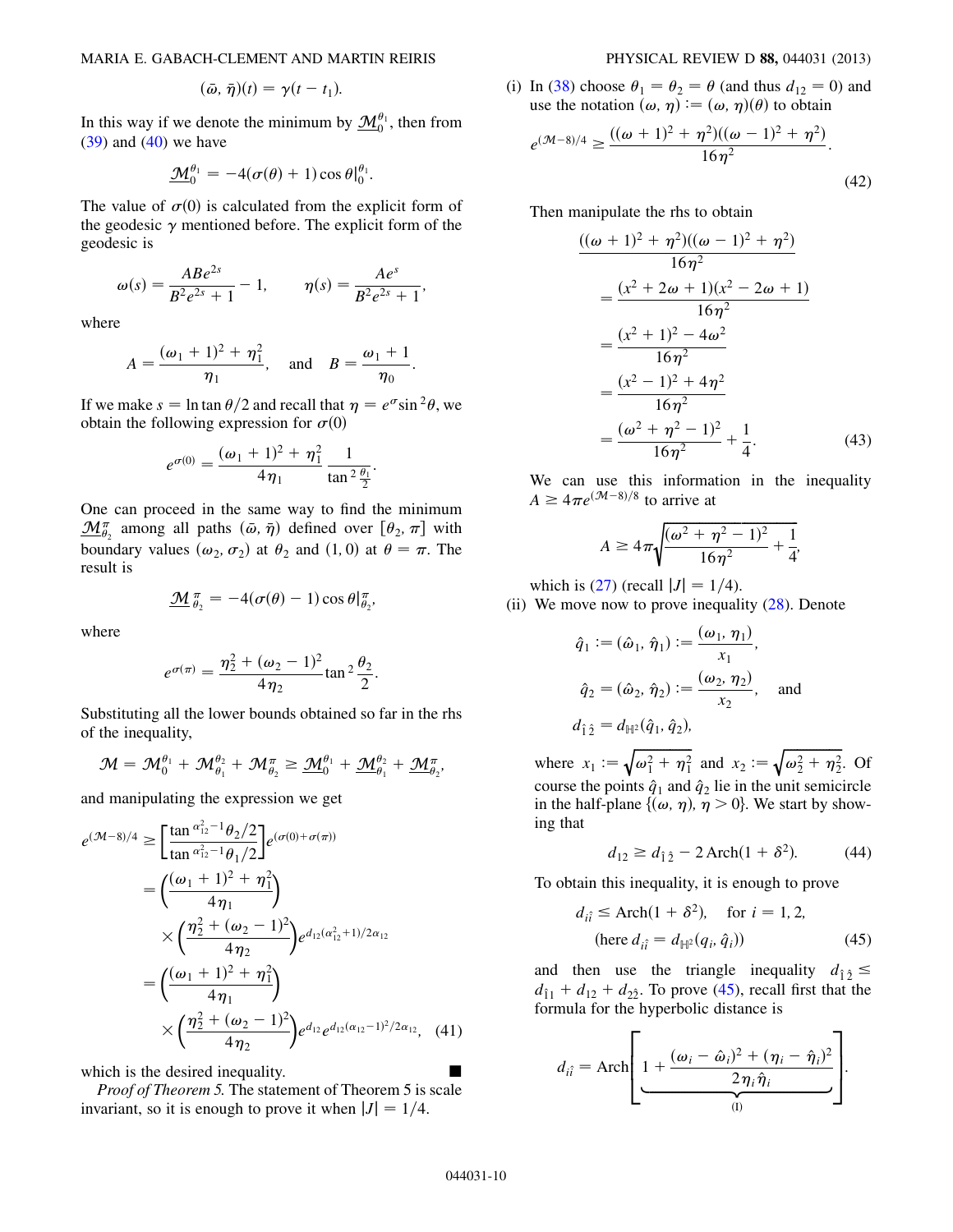$$
(\bar{\omega},\bar{\eta})(t)=\gamma(t-t_1).
$$

In this way if we denote the minimum by  $\underline{\mathcal{M}}_0^{\theta_1}$ , then from  $(39)$  and  $(40)$  $(40)$  we have

$$
\underline{\mathcal{M}}_0^{\theta_1} = -4(\sigma(\theta) + 1)\cos \theta|_0^{\theta_1}.
$$

The value of  $\sigma(0)$  is calculated from the explicit form of the geodesic  $\gamma$  mentioned before. The explicit form of the geodesic is

$$
\omega(s) = \frac{ABe^{2s}}{B^2e^{2s} + 1} - 1, \qquad \eta(s) = \frac{Ae^s}{B^2e^{2s} + 1},
$$

where

$$
A = \frac{(\omega_1 + 1)^2 + \eta_1^2}{\eta_1}, \text{ and } B = \frac{\omega_1 + 1}{\eta_0}
$$

:

If we make  $s = \ln \tan \theta / 2$  and recall that  $\eta = e^{\sigma} \sin^2 \theta$ , we obtain the following expression for  $\sigma(0)$ 

$$
e^{\sigma(0)} = \frac{(\omega_1 + 1)^2 + \eta_1^2}{4\eta_1} \frac{1}{\tan^2 \frac{\theta_1}{2}}.
$$

One can proceed in the same way to find the minimum  $\underline{\mathcal{M}}_{\theta_2}^{\pi}$  among all paths  $(\bar{\omega}, \bar{\eta})$  defined over  $[\theta_2, \pi]$  with boundary values  $(\omega_2, \sigma_2)$  at  $\theta_2$  and  $(1, 0)$  at  $\theta = \pi$ . The result is

$$
\underline{\mathcal{M}}_{\theta_2}^{\pi} = -4(\sigma(\theta) - 1)\cos\theta|_{\theta_2}^{\pi},
$$

where

$$
e^{\sigma(\pi)} = \frac{\eta_2^2 + (\omega_2 - 1)^2}{4\eta_2} \tan^2 \frac{\theta_2}{2}.
$$

Substituting all the lower bounds obtained so far in the rhs of the inequality,

$$
\mathcal{M}=\mathcal{M}_0^{\theta_1}+\mathcal{M}_{\theta_1}^{\theta_2}+\mathcal{M}_{\theta_2}^{\pi}\geq \underline{\mathcal{M}}_0^{\theta_1}+\underline{\mathcal{M}}_{\theta_1}^{\theta_2}+\underline{\mathcal{M}}_{\theta_2}^{\pi},
$$

and manipulating the expression we get

$$
e^{(\mathcal{M}-8)/4} \ge \left[\frac{\tan \frac{\alpha_{12}^2 - 1\theta_2/2}{\tan \frac{\alpha_{12}^2 - 1\theta_1/2}}\right] e^{(\sigma(0) + \sigma(\pi))}
$$
  
\n
$$
= \left(\frac{(\omega_1 + 1)^2 + \eta_1^2}{4\eta_1}\right)
$$
  
\n
$$
\times \left(\frac{\eta_2^2 + (\omega_2 - 1)^2}{4\eta_2}\right) e^{d_{12}(\alpha_{12}^2 + 1)/2\alpha_{12}}
$$
  
\n
$$
= \left(\frac{(\omega_1 + 1)^2 + \eta_1^2}{4\eta_1}\right)
$$
  
\n
$$
\times \left(\frac{\eta_2^2 + (\omega_2 - 1)^2}{4\eta_2}\right) e^{d_{12}} e^{d_{12}(\alpha_{12} - 1)^2/2\alpha_{12}}, \quad (41)
$$

which is the desired inequality.

Proof of Theorem 5. The statement of Theorem 5 is scale invariant, so it is enough to prove it when  $|J| = 1/4$ .

(i) In ([38](#page-8-2)) choose  $\theta_1 = \theta_2 = \theta$  (and thus  $d_{12} = 0$ ) and use the notation  $(\omega, \eta) \mathrel{\mathop:}=(\omega, \eta)(\theta)$  to obtain

$$
e^{(\mathcal{M}-8)/4} \ge \frac{((\omega+1)^2 + \eta^2)((\omega-1)^2 + \eta^2)}{16\eta^2}.
$$
\n(42)

Then manipulate the rhs to obtain

$$
\frac{((\omega + 1)^2 + \eta^2)((\omega - 1)^2 + \eta^2)}{16\eta^2}
$$
\n
$$
= \frac{(x^2 + 2\omega + 1)(x^2 - 2\omega + 1)}{16\eta^2}
$$
\n
$$
= \frac{(x^2 + 1)^2 - 4\omega^2}{16\eta^2}
$$
\n
$$
= \frac{(x^2 - 1)^2 + 4\eta^2}{16\eta^2}
$$
\n
$$
= \frac{(\omega^2 + \eta^2 - 1)^2}{16\eta^2} + \frac{1}{4}.
$$
\n(43)

We can use this information in the inequality  $A \geq 4\pi e^{(M-8)/8}$  to arrive at

$$
A \ge 4\pi \sqrt{\frac{(\omega^2 + \eta^2 - 1)^2}{16\eta^2} + \frac{1}{4}},
$$

which is ([27](#page-6-0)) (recall  $|J| = 1/4$ ).

(ii) We move now to prove inequality  $(28)$  $(28)$  $(28)$ . Denote

$$
\hat{q}_1 := (\hat{\omega}_1, \hat{\eta}_1) := \frac{(\omega_1, \eta_1)}{x_1},
$$
  

$$
\hat{q}_2 = (\hat{\omega}_2, \hat{\eta}_2) := \frac{(\omega_2, \eta_2)}{x_2}, \text{ and}
$$
  

$$
d_{\hat{1}\hat{2}} = d_{\mathbb{H}^2}(\hat{q}_1, \hat{q}_2),
$$

where  $x_1 := \sqrt{\omega_1^2 + \eta_1^2}$  and  $x_2 := \sqrt{\omega_2^2 + \eta_2^2}$ . Of course the points  $\hat{q}_1$  and  $\hat{q}_2$  lie in the unit semicircle in the half-plane  $\{\omega, \eta\}, \eta > 0\}$ . We start by showing that

$$
d_{12} \ge d_{\hat{1}\hat{2}} - 2 \operatorname{Arch}(1 + \delta^2). \tag{44}
$$

<span id="page-9-1"></span><span id="page-9-0"></span>To obtain this inequality, it is enough to prove

$$
d_{i\hat{i}} \le \text{Arch}(1 + \delta^2), \quad \text{for } i = 1, 2,
$$
  
(here  $d_{i\hat{i}} = d_{\mathbb{H}^2}(q_i, \hat{q}_i)$ ) (45)

and then use the triangle inequality  $d_{\hat{1}\hat{2}} \le$  $d_{\hat{1}1} + d_{12} + d_{2\hat{2}}$ . To prove ([45](#page-9-0)), recall first that the formula for the hyperbolic distance is

$$
d_{i\hat{i}} = \text{Arch}\left[\underbrace{1 + \frac{(\omega_i - \hat{\omega}_i)^2 + (\eta_i - \hat{\eta}_i)^2}{2\eta_i\hat{\eta}_i}}_{\text{(I)}}
$$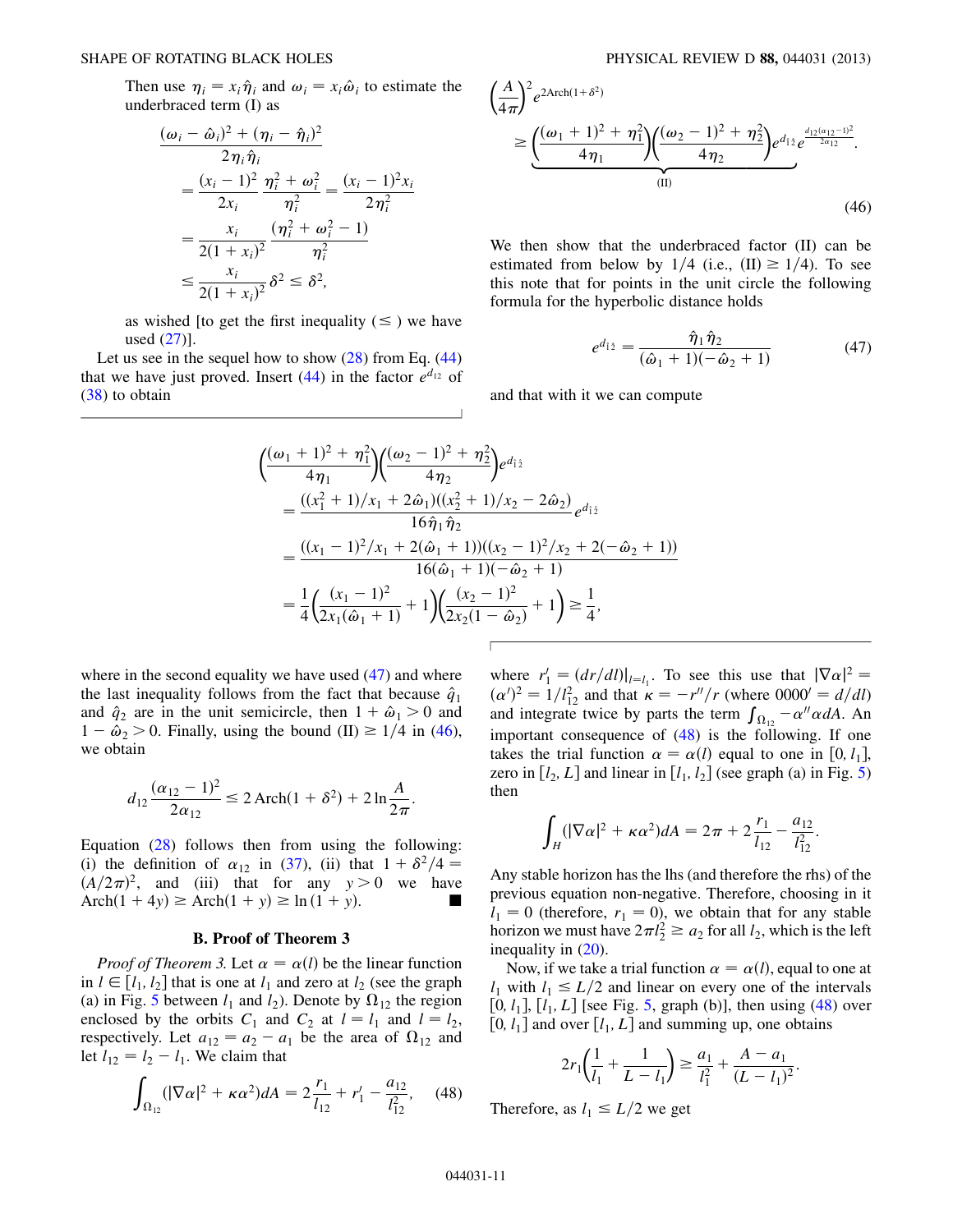Then use  $\eta_i = x_i \hat{\eta}_i$  and  $\omega_i = x_i \hat{\omega}_i$  to estimate the underbraced term (I) as

$$
\frac{(\omega_i - \hat{\omega}_i)^2 + (\eta_i - \hat{\eta}_i)^2}{2\eta_i \hat{\eta}_i}
$$
\n
$$
= \frac{(x_i - 1)^2}{2x_i} \frac{\eta_i^2 + \omega_i^2}{\eta_i^2} = \frac{(x_i - 1)^2 x_i}{2\eta_i^2}
$$
\n
$$
= \frac{x_i}{2(1 + x_i)^2} \frac{(\eta_i^2 + \omega_i^2 - 1)}{\eta_i^2}
$$
\n
$$
\leq \frac{x_i}{2(1 + x_i)^2} \delta^2 \leq \delta^2,
$$

as wished [to get the first inequality  $(\leq)$  we have used [\(27\)](#page-6-0)].

Let us see in the sequel how to show  $(28)$  $(28)$  $(28)$  from Eq.  $(44)$ that we have just proved. Insert [\(44\)](#page-9-1) in the factor  $e^{d_{12}}$  of [\(38\)](#page-8-2) to obtain

<span id="page-10-1"></span>
$$
\left(\frac{A}{4\pi}\right)^2 e^{2\text{Arch}(1+\delta^2)}\n\geq \underbrace{\left(\frac{(\omega_1+1)^2+\eta_1^2}{4\eta_1}\right) \left(\frac{(\omega_2-1)^2+\eta_2^2}{4\eta_2}\right)}_{\text{(II)}} e^{d_{12} \frac{d_{12}(\alpha_{12}-1)^2}{2\alpha_{12}}}.
$$
\n(46)

<span id="page-10-0"></span>We then show that the underbraced factor (II) can be estimated from below by  $1/4$  (i.e.,  $(II) \ge 1/4$ ). To see this note that for points in the unit circle the following formula for the hyperbolic distance holds

$$
e^{d_{\hat{1}\hat{2}}} = \frac{\hat{\eta}_1 \hat{\eta}_2}{(\hat{\omega}_1 + 1)(-\hat{\omega}_2 + 1)}
$$
(47)

and that with it we can compute

$$
\begin{split}\n&\left(\frac{(\omega_1+1)^2+\eta_1^2}{4\eta_1}\right) \left(\frac{(\omega_2-1)^2+\eta_2^2}{4\eta_2}\right) e^{d_{12}} \\
&= \frac{((x_1^2+1)/x_1+2\hat{\omega}_1)((x_2^2+1)/x_2-2\hat{\omega}_2)}{16\hat{\eta}_1 \hat{\eta}_2} e^{d_{12}} \\
&= \frac{((x_1-1)^2/x_1+2(\hat{\omega}_1+1))((x_2-1)^2/x_2+2(-\hat{\omega}_2+1))}{16(\hat{\omega}_1+1)(-\hat{\omega}_2+1)} \\
&= \frac{1}{4} \left(\frac{(x_1-1)^2}{2x_1(\hat{\omega}_1+1)}+1\right) \left(\frac{(x_2-1)^2}{2x_2(1-\hat{\omega}_2)}+1\right) \geq \frac{1}{4},\n\end{split}
$$

where in the second equality we have used  $(47)$  and where the last inequality follows from the fact that because  $\hat{q}_1$ and  $\hat{q}_2$  are in the unit semicircle, then  $1 + \hat{\omega}_1 > 0$  and  $1 - \hat{\omega}_2 > 0$ . Finally, using the bound (II)  $\geq 1/4$  in [\(46\)](#page-10-1), we obtain

$$
d_{12} \frac{(\alpha_{12} - 1)^2}{2\alpha_{12}} \le 2 \operatorname{Arch}(1 + \delta^2) + 2 \ln \frac{A}{2\pi}.
$$

Equation [\(28\)](#page-6-3) follows then from using the following: (i) the definition of  $\alpha_{12}$  in ([37](#page-8-3)), (ii) that  $1 + \delta^2/4 =$  $(A/2\pi)^2$ , and (iii) that for any  $y > 0$  we have Arch $(1 + 4y) \ge$  Arch $(1 + y) \ge$  ln  $(1 + y)$ .

#### B. Proof of Theorem 3

*Proof of Theorem 3.* Let  $\alpha = \alpha(l)$  be the linear function in  $l \in [l_1, l_2]$  that is one at  $l_1$  and zero at  $l_2$  (see the graph (a) in Fig. [5](#page-11-0) between  $l_1$  and  $l_2$ ). Denote by  $\Omega_{12}$  the region enclosed by the orbits  $C_1$  and  $C_2$  at  $l = l_1$  and  $l = l_2$ , respectively. Let  $a_{12} = a_2 - a_1$  be the area of  $\Omega_{12}$  and let  $l_{12} = l_2 - l_1$ . We claim that

<span id="page-10-2"></span>
$$
\int_{\Omega_{12}} (|\nabla \alpha|^2 + \kappa \alpha^2) dA = 2 \frac{r_1}{l_{12}} + r_1' - \frac{a_{12}}{l_{12}^2}, \quad (48)
$$

where  $r'_1 = \left(\frac{dr}{dl}\right)|_{l=l_1}$ . To see this use that  $|\nabla \alpha|^2 =$  $(\alpha')^2 = 1/l_{12}^2$  and that  $\kappa = -r''/r$  (where 0000' = d/dl) and integrate twice by parts the term  $\int_{\Omega_{12}} -\alpha'' \alpha dA$ . An important consequence of [\(48\)](#page-10-2) is the following. If one takes the trial function  $\alpha = \alpha(l)$  equal to one in [0, l<sub>1</sub>], zero in  $[l_2, L]$  and linear in  $[l_1, l_2]$  (see graph (a) in Fig. [5\)](#page-11-0) then

$$
\int_H (|\nabla \alpha|^2 + \kappa \alpha^2) dA = 2\pi + 2\frac{r_1}{l_{12}} - \frac{a_{12}}{l_{12}^2}
$$

:

Any stable horizon has the lhs (and therefore the rhs) of the previous equation non-negative. Therefore, choosing in it  $l_1 = 0$  (therefore,  $r_1 = 0$ ), we obtain that for any stable horizon we must have  $2\pi l_2^2 \ge a_2$  for all  $l_2$ , which is the left inequality in  $(20)$  $(20)$  $(20)$ .

Now, if we take a trial function  $\alpha = \alpha(l)$ , equal to one at  $l_1$  with  $l_1 \leq L/2$  and linear on every one of the intervals [0,  $l_1$ ],  $[l_1, L]$  [see Fig. [5](#page-11-0), graph (b)], then using [\(48\)](#page-10-2) over [0,  $l_1$ ] and over [ $l_1$ , L] and summing up, one obtains

$$
2r_1\left(\frac{1}{l_1} + \frac{1}{L - l_1}\right) \ge \frac{a_1}{l_1^2} + \frac{A - a_1}{(L - l_1)^2}.
$$

Therefore, as  $l_1 \leq L/2$  we get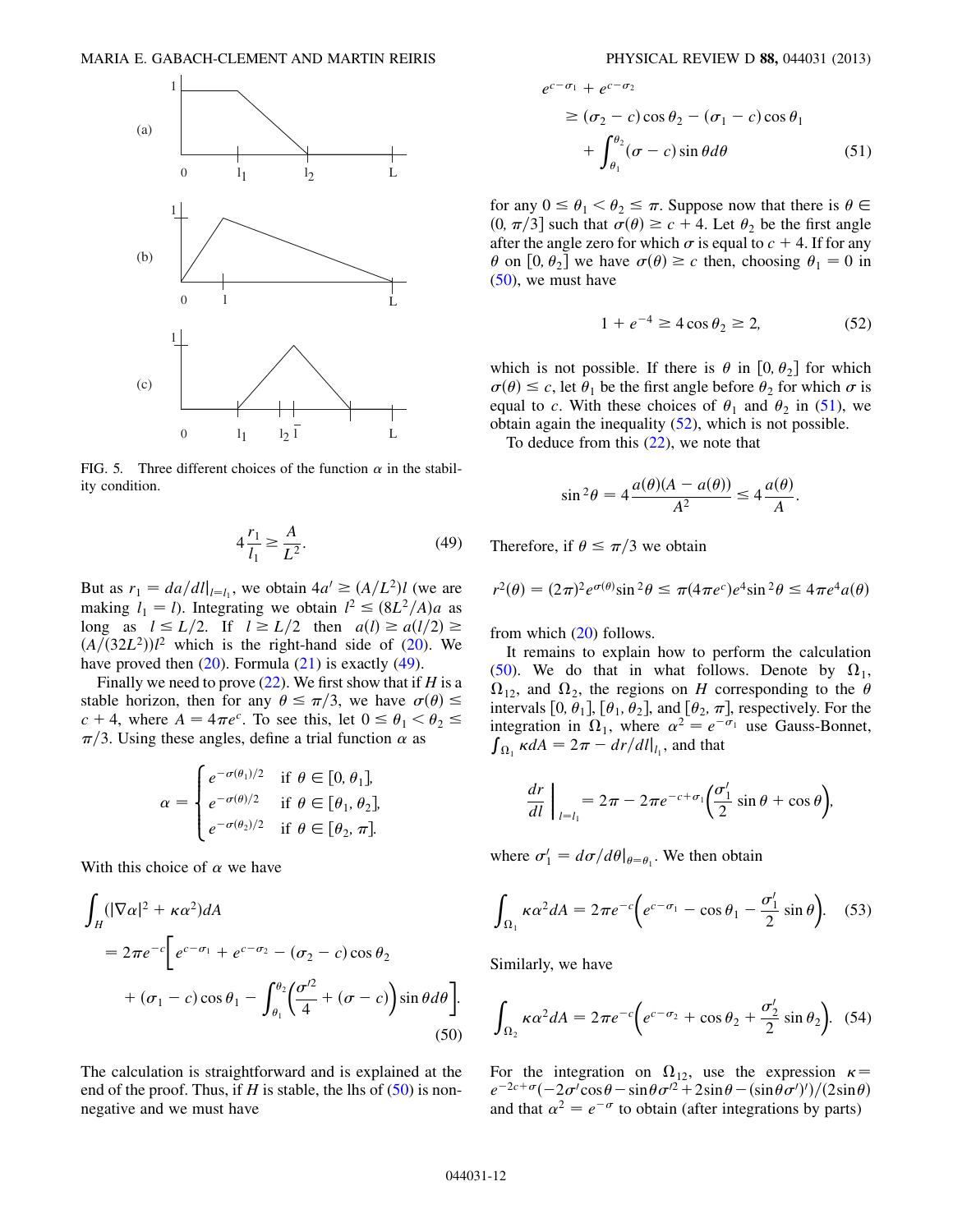<span id="page-11-0"></span>

<span id="page-11-1"></span>FIG. 5. Three different choices of the function  $\alpha$  in the stability condition.

$$
4\frac{r_1}{l_1} \ge \frac{A}{L^2}.\tag{49}
$$

But as  $r_1 = da/dl|_{l=l_1}$ , we obtain  $4a' \geq (A/L^2)l$  (we are making  $l_1 = l$ ). Integrating we obtain  $l^2 \leq (8L^2/A)a$  as long as  $l \le L/2$ . If  $l \ge L/2$  then  $a(l) \ge a(l/2) \ge$  $\left(\frac{A}{32L^2}\right)l^2$  which is the right-hand side of [\(20\)](#page-5-2). We have proved then  $(20)$ . Formula  $(21)$  $(21)$  $(21)$  is exactly  $(49)$ .

Finally we need to prove  $(22)$  $(22)$  $(22)$ . We first show that if H is a stable horizon, then for any  $\theta \leq \pi/3$ , we have  $\sigma(\theta) \leq$  $c + 4$ , where  $A = 4\pi e^c$ . To see this, let  $0 \le \theta_1 < \theta_2 \le$  $\pi/3$ . Using these angles, define a trial function  $\alpha$  as

$$
\alpha = \begin{cases} e^{-\sigma(\theta_1)/2} & \text{if } \theta \in [0, \theta_1], \\ e^{-\sigma(\theta)/2} & \text{if } \theta \in [\theta_1, \theta_2], \\ e^{-\sigma(\theta_2)/2} & \text{if } \theta \in [\theta_2, \pi]. \end{cases}
$$

<span id="page-11-2"></span>With this choice of  $\alpha$  we have

$$
\int_{H} (|\nabla \alpha|^{2} + \kappa \alpha^{2}) dA
$$
\n
$$
= 2\pi e^{-c} \Big[ e^{c-\sigma_{1}} + e^{c-\sigma_{2}} - (\sigma_{2} - c) \cos \theta_{2}
$$
\n
$$
+ (\sigma_{1} - c) \cos \theta_{1} - \int_{\theta_{1}}^{\theta_{2}} \Big( \frac{\sigma^{2}}{4} + (\sigma - c) \Big) \sin \theta d\theta \Big].
$$
\n(50)

The calculation is straightforward and is explained at the end of the proof. Thus, if H is stable, the lhs of  $(50)$  is nonnegative and we must have

<span id="page-11-3"></span>
$$
e^{c-\sigma_1} + e^{c-\sigma_2}
$$
  
\n
$$
\ge (\sigma_2 - c)\cos\theta_2 - (\sigma_1 - c)\cos\theta_1
$$
  
\n
$$
+ \int_{\theta_1}^{\theta_2} (\sigma - c)\sin\theta d\theta
$$
 (51)

<span id="page-11-4"></span>for any  $0 \le \theta_1 < \theta_2 \le \pi$ . Suppose now that there is  $\theta \in$  $(0, \pi/3]$  such that  $\sigma(\theta) \geq c + 4$ . Let  $\theta_2$  be the first angle after the angle zero for which  $\sigma$  is equal to  $c + 4$ . If for any  $\theta$  on  $[0, \theta_2]$  we have  $\sigma(\theta) \ge c$  then, choosing  $\theta_1 = 0$  in  $(50)$ , we must have

$$
1 + e^{-4} \ge 4\cos\theta_2 \ge 2,\tag{52}
$$

which is not possible. If there is  $\theta$  in  $[0, \theta_2]$  for which  $\sigma(\theta) \leq c$ , let  $\theta_1$  be the first angle before  $\theta_2$  for which  $\sigma$  is equal to c. With these choices of  $\theta_1$  and  $\theta_2$  in [\(51\)](#page-11-3), we obtain again the inequality  $(52)$ , which is not possible.

To deduce from this [\(22\)](#page-5-3), we note that

$$
\sin^2 \theta = 4 \frac{a(\theta)(A - a(\theta))}{A^2} \le 4 \frac{a(\theta)}{A}.
$$

Therefore, if  $\theta \leq \pi/3$  we obtain

$$
r^2(\theta) = (2\pi)^2 e^{\sigma(\theta)} \sin^2 \theta \le \pi (4\pi e^c) e^4 \sin^2 \theta \le 4\pi e^4 a(\theta)
$$

from which [\(20\)](#page-5-2) follows.

It remains to explain how to perform the calculation [\(50\)](#page-11-2). We do that in what follows. Denote by  $\Omega_1$ ,  $\Omega_{12}$ , and  $\Omega_2$ , the regions on H corresponding to the  $\theta$ intervals  $[0, \theta_1]$ ,  $[\theta_1, \theta_2]$ , and  $[\theta_2, \pi]$ , respectively. For the integration in  $\Omega_1$ , where  $\alpha^2 = e^{-\sigma_1}$  use Gauss-Bonnet,  $\int_{\Omega_1} \kappa dA = 2\pi - \frac{dr}{dl} \big|_{l_1}$ , and that

<span id="page-11-5"></span>
$$
\frac{dr}{dl}\bigg|_{l=l_1} = 2\pi - 2\pi e^{-c+\sigma_1}\bigg(\frac{\sigma'_1}{2}\sin\theta + \cos\theta\bigg),
$$

where  $\sigma'_1 = d\sigma/d\theta|_{\theta = \theta_1}$ . We then obtain

$$
\int_{\Omega_1} \kappa \alpha^2 dA = 2\pi e^{-c} \left( e^{c - \sigma_1} - \cos \theta_1 - \frac{\sigma_1'}{2} \sin \theta \right). \tag{53}
$$

Similarly, we have

$$
\int_{\Omega_2} \kappa \alpha^2 dA = 2\pi e^{-c} \left( e^{c - \sigma_2} + \cos \theta_2 + \frac{\sigma_2'}{2} \sin \theta_2 \right). \tag{54}
$$

For the integration on  $\Omega_{12}$ , use the expression  $\kappa =$  $e^{-2c+\sigma}(-2\sigma'\cos\theta-\sin\theta\sigma'^2+2\sin\theta-(\sin\theta\sigma')')/(2\sin\theta)$ and that  $\alpha^2 = e^{-\sigma}$  to obtain (after integrations by parts)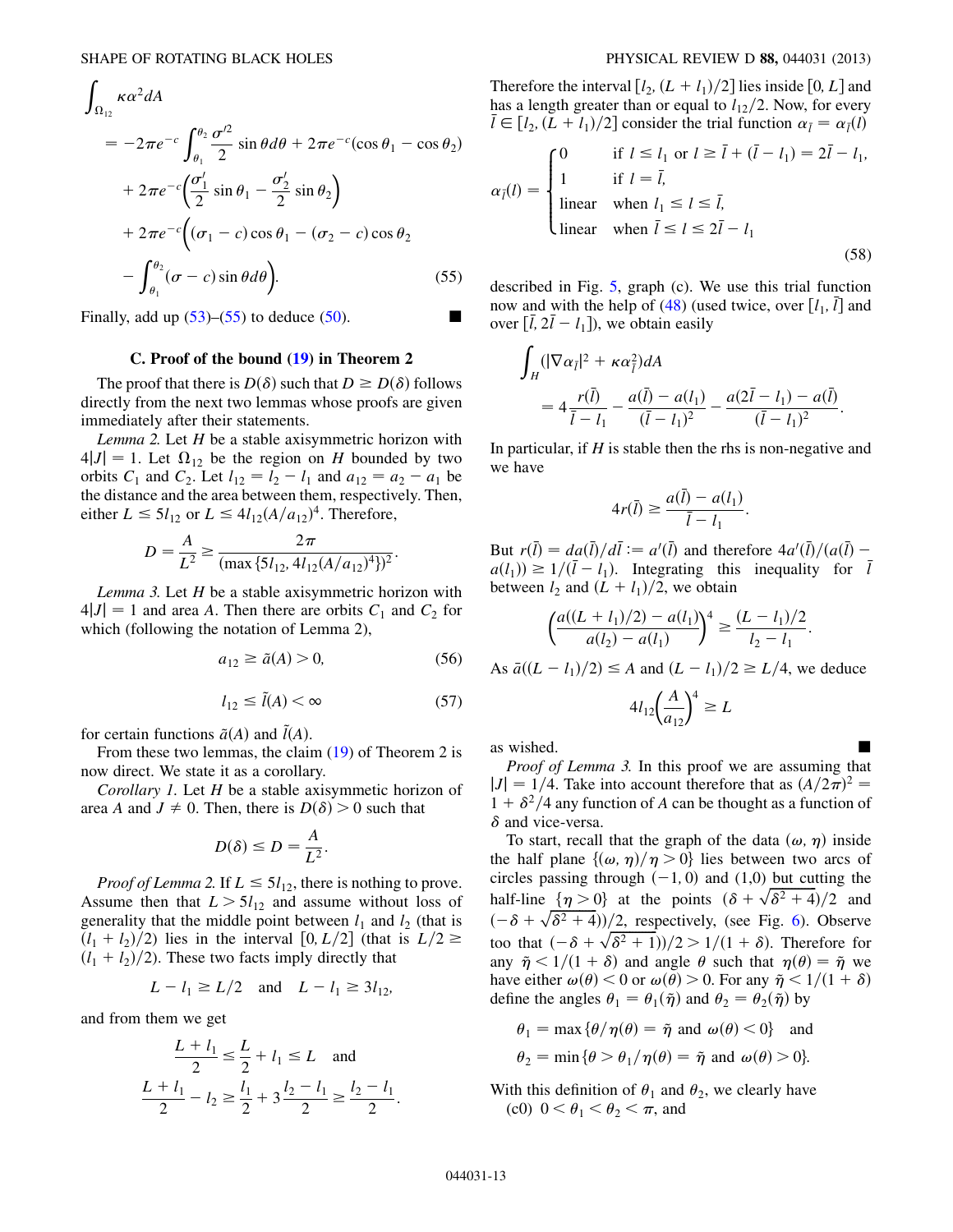<span id="page-12-0"></span>
$$
\int_{\Omega_{12}} \kappa \alpha^2 dA
$$
\n
$$
= -2\pi e^{-c} \int_{\theta_1}^{\theta_2} \frac{\sigma^2}{2} \sin \theta d\theta + 2\pi e^{-c} (\cos \theta_1 - \cos \theta_2)
$$
\n
$$
+ 2\pi e^{-c} \left( \frac{\sigma'_1}{2} \sin \theta_1 - \frac{\sigma'_2}{2} \sin \theta_2 \right)
$$
\n
$$
+ 2\pi e^{-c} \left( (\sigma_1 - c) \cos \theta_1 - (\sigma_2 - c) \cos \theta_2 \right)
$$
\n
$$
- \int_{\theta_1}^{\theta_2} (\sigma - c) \sin \theta d\theta \right). \tag{55}
$$

Finally, add up  $(53)$  $(53)$  $(53)$ – $(55)$  to deduce  $(50)$  $(50)$  $(50)$ .

# C. Proof of the bound ([19](#page-5-1)) in Theorem 2

The proof that there is  $D(\delta)$  such that  $D \geq D(\delta)$  follows directly from the next two lemmas whose proofs are given immediately after their statements.

Lemma 2. Let  $H$  be a stable axisymmetric horizon with  $4|J| = 1$ . Let  $\Omega_{12}$  be the region on H bounded by two orbits  $C_1$  and  $C_2$ . Let  $l_{12} = l_2 - l_1$  and  $a_{12} = a_2 - a_1$  be the distance and the area between them, respectively. Then, either  $L \leq 5l_{12}$  or  $L \leq 4l_{12}(A/a_{12})^4$ . Therefore,

$$
D = \frac{A}{L^2} \ge \frac{2\pi}{(\max\{5l_{12}, 4l_{12}(A/a_{12})^4\})^2}.
$$

<span id="page-12-2"></span>Lemma 3. Let  $H$  be a stable axisymmetric horizon with  $4|J| = 1$  and area A. Then there are orbits  $C_1$  and  $C_2$  for which (following the notation of Lemma 2),

$$
a_{12} \ge \tilde{a}(A) > 0,\tag{56}
$$

$$
l_{12} \le \tilde{l}(A) < \infty \tag{57}
$$

<span id="page-12-1"></span>for certain functions  $\tilde{a}(A)$  and  $\tilde{l}(A)$ .

From these two lemmas, the claim ([19\)](#page-5-1) of Theorem 2 is now direct. We state it as a corollary.

Corollary 1. Let H be a stable axisymmetic horizon of area A and  $J \neq 0$ . Then, there is  $D(\delta) > 0$  such that

$$
D(\delta) \le D = \frac{A}{L^2}.
$$

*Proof of Lemma 2.* If  $L \leq 5l_{12}$ , there is nothing to prove. Assume then that  $L > 5l_{12}$  and assume without loss of generality that the middle point between  $l_1$  and  $l_2$  (that is  $(l_1 + l_2)/2$ ) lies in the interval [0, L/2] (that is  $L/2 \ge$  $(l_1 + l_2)/2$ ). These two facts imply directly that

$$
L - l_1 \ge L/2
$$
 and  $L - l_1 \ge 3l_{12}$ ,

and from them we get

$$
\frac{L+l_1}{2} \le \frac{L}{2} + l_1 \le L \quad \text{and}
$$
  

$$
\frac{L+l_1}{2} - l_2 \ge \frac{l_1}{2} + 3\frac{l_2 - l_1}{2} \ge \frac{l_2 - l_1}{2}.
$$

Therefore the interval  $[l_2, (L + l_1)/2]$  lies inside  $[0, L]$  and has a length greater than or equal to  $l_{12}/2$ . Now, for every  $\bar{l} \in [l_2, (L+l_1)/2]$  consider the trial function  $\alpha_{\bar{l}} = \alpha_{\bar{l}}(l)$ 

$$
\alpha_{\bar{l}}(l) = \begin{cases}\n0 & \text{if } l \le l_1 \text{ or } l \ge \bar{l} + (\bar{l} - l_1) = 2\bar{l} - l_1, \\
1 & \text{if } l = \bar{l}, \\
\text{linear when } l_1 \le l \le \bar{l}, \\
\text{linear when } \bar{l} \le l \le 2\bar{l} - l_1\n\end{cases}
$$
\n(58)

described in Fig. [5,](#page-11-0) graph (c). We use this trial function now and with the help of [\(48\)](#page-10-2) (used twice, over  $[l_1, l]$  and over  $[\bar{l}, 2\bar{l} - l_1]$ , we obtain easily

$$
\int_{H} (|\nabla \alpha_{\bar{l}}|^2 + \kappa \alpha_{\bar{l}}^2) dA
$$
  
=  $4 \frac{r(\bar{l})}{\bar{l} - l_1} - \frac{a(\bar{l}) - a(l_1)}{(\bar{l} - l_1)^2} - \frac{a(2\bar{l} - l_1) - a(\bar{l})}{(\bar{l} - l_1)^2}.$ 

In particular, if  $H$  is stable then the rhs is non-negative and we have

$$
4r(\bar{l}) \ge \frac{a(\bar{l}) - a(l_1)}{\bar{l} - l_1}.
$$

But  $r(\bar{l}) = da(\bar{l})/d\bar{l} := a'(\bar{l})$  and therefore  $4a'(\bar{l})/(a(\bar{l})$  $a(l_1) \geq 1/(\bar{l}-l_1)$ . Integrating this inequality for  $\bar{l}$ between  $l_2$  and  $(L + l_1)/2$ , we obtain

$$
\left(\frac{a((L+l_1)/2) - a(l_1)}{a(l_2) - a(l_1)}\right)^4 \ge \frac{(L-l_1)/2}{l_2 - l_1}.
$$

As  $\bar{a}((L - l_1)/2) \leq A$  and  $(L - l_1)/2 \geq L/4$ , we deduce

$$
4l_{12}\left(\frac{A}{a_{12}}\right)^4 \ge L
$$

as wished.

Proof of Lemma 3. In this proof we are assuming that  $|J| = 1/4$ . Take into account therefore that as  $(A/2\pi)^2$  =  $1 + \delta^2/4$  any function of A can be thought as a function of  $\delta$  and vice-versa.

To start, recall that the graph of the data  $(\omega, \eta)$  inside the half plane  $\{\omega, \eta\}/\eta > 0\}$  lies between two arcs of circles passing through  $(-1, 0)$  and  $(1,0)$  but cutting the half-line  $\{\eta > 0\}$  at the points  $(\delta + \sqrt{\delta^2 + 4})/2$  and  $\frac{(1+i)(1+i)}{2}$  for the points (e.e. Fig. [6](#page-13-0)). Observe too that  $\left(-\delta + \sqrt{\delta^2 + 1}\right)/2 > 1/(1 + \delta)$ . Therefore for any  $\tilde{\eta} < 1/(1 + \delta)$  and angle  $\theta$  such that  $\eta(\theta) = \tilde{\eta}$  we have either  $\omega(\theta) < 0$  or  $\omega(\theta) > 0$ . For any  $\tilde{\eta} < 1/(1 + \delta)$ define the angles  $\theta_1 = \theta_1(\tilde{\eta})$  and  $\theta_2 = \theta_2(\tilde{\eta})$  by

$$
\theta_1 = \max \{ \theta / \eta(\theta) = \tilde{\eta} \text{ and } \omega(\theta) < 0 \} \text{ and}
$$
\n
$$
\theta_2 = \min \{ \theta > \theta_1 / \eta(\theta) = \tilde{\eta} \text{ and } \omega(\theta) > 0 \}.
$$

With this definition of  $\theta_1$  and  $\theta_2$ , we clearly have (c0)  $0 < \theta_1 < \theta_2 < \pi$ , and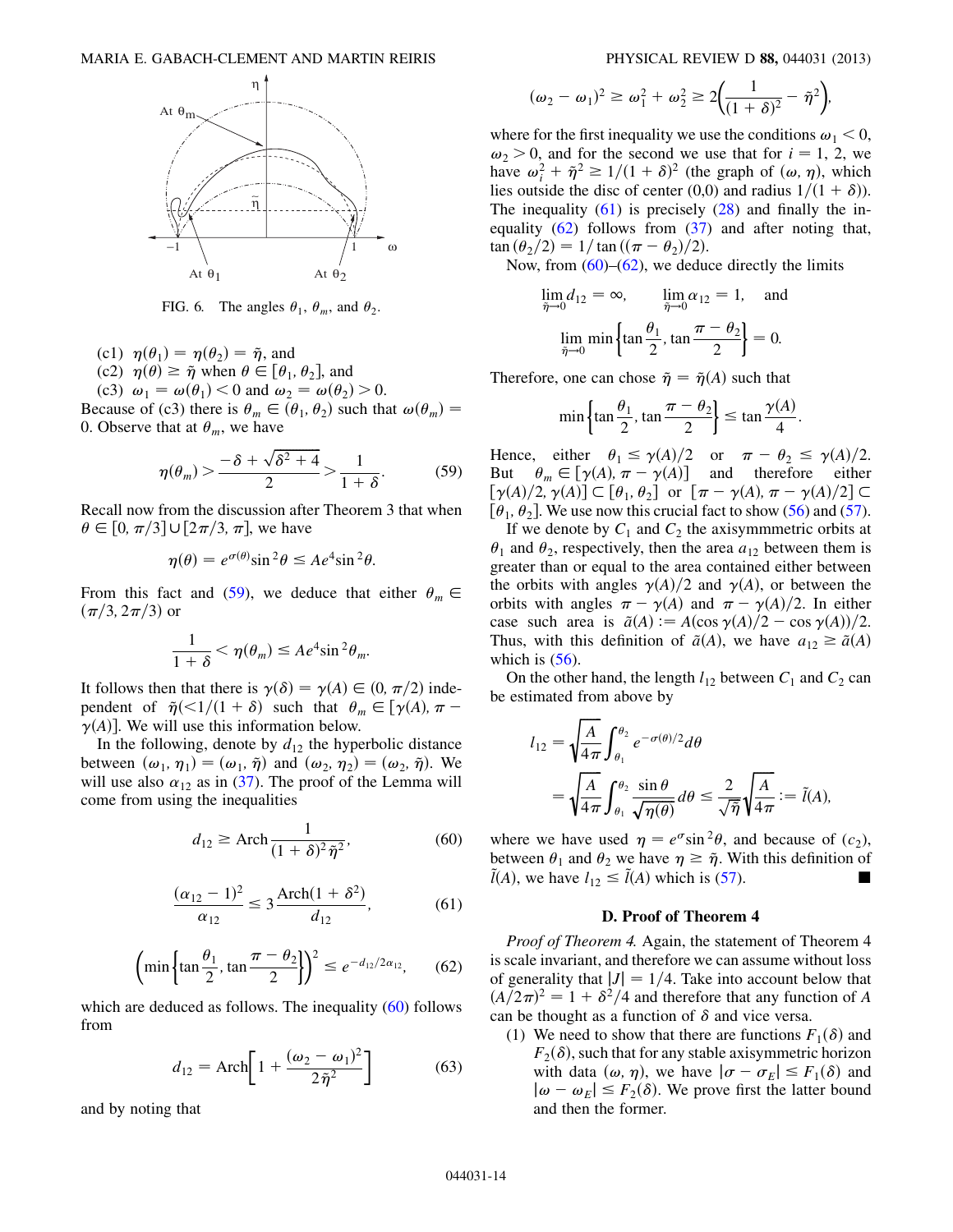<span id="page-13-0"></span>

FIG. 6. The angles  $\theta_1$ ,  $\theta_m$ , and  $\theta_2$ .

- (c1)  $\eta(\theta_1) = \eta(\theta_2) = \tilde{\eta}$ , and
- (c2)  $\eta(\theta) \geq \tilde{\eta}$  when  $\theta \in [\theta_1, \theta_2]$ , and

(c3)  $\omega_1 = \omega(\theta_1) < 0$  and  $\omega_2 = \omega(\theta_2) > 0$ . Because of (c3) there is  $\theta_m \in (\theta_1, \theta_2)$  such that  $\omega(\theta_m)$  =

<span id="page-13-1"></span>0. Observe that at  $\theta_m$ , we have

$$
\eta(\theta_m) > \frac{-\delta + \sqrt{\delta^2 + 4}}{2} > \frac{1}{1 + \delta}.\tag{59}
$$

Recall now from the discussion after Theorem 3 that when  $\theta \in [0, \pi/3] \cup [2\pi/3, \pi]$ , we have

$$
\eta(\theta) = e^{\sigma(\theta)} \sin^2 \theta \le A e^4 \sin^2 \theta.
$$

From this fact and ([59](#page-13-1)), we deduce that either  $\theta_m \in$  $(\pi/3, 2\pi/3)$  or

$$
\frac{1}{1+\delta} < \eta(\theta_m) \le A e^4 \sin^2 \theta_m.
$$

It follows then that there is  $\gamma(\delta) = \gamma(A) \in (0, \pi/2)$  independent of  $\tilde{\eta}(\leq 1/(1+\delta))$  such that  $\theta_m \in [\gamma(A), \pi \gamma(A)$ . We will use this information below.

<span id="page-13-3"></span>In the following, denote by  $d_{12}$  the hyperbolic distance between  $(\omega_1, \eta_1) = (\omega_1, \tilde{\eta})$  and  $(\omega_2, \eta_2) = (\omega_2, \tilde{\eta})$ . We will use also  $\alpha_{12}$  as in [\(37\)](#page-8-3). The proof of the Lemma will come from using the inequalities

$$
d_{12} \ge \text{Arch} \frac{1}{(1+\delta)^2 \tilde{\eta}^2},\tag{60}
$$

<span id="page-13-4"></span>
$$
\frac{(\alpha_{12} - 1)^2}{\alpha_{12}} \le 3 \frac{\text{Arch}(1 + \delta^2)}{d_{12}},\tag{61}
$$

$$
\left(\min\left\{\tan\frac{\theta_1}{2}, \tan\frac{\pi-\theta_2}{2}\right\}\right)^2 \le e^{-d_{12}/2\alpha_{12}},\qquad(62)
$$

<span id="page-13-2"></span>which are deduced as follows. The inequality [\(60\)](#page-13-2) follows from

$$
d_{12} = \text{Arch}\bigg[1 + \frac{(\omega_2 - \omega_1)^2}{2\tilde{\eta}^2}\bigg] \tag{63}
$$

and by noting that

$$
(\omega_2 - \omega_1)^2 \ge \omega_1^2 + \omega_2^2 \ge 2\left(\frac{1}{(1+\delta)^2} - \tilde{\eta}^2\right),
$$

where for the first inequality we use the conditions  $\omega_1 < 0$ ,  $\omega_2 > 0$ , and for the second we use that for  $i = 1, 2$ , we have  $\omega_i^2 + \tilde{\eta}^2 \ge 1/(1+\delta)^2$  (the graph of  $(\omega, \eta)$ , which lies outside the disc of center (0,0) and radius  $1/(1 + \delta)$ ). The inequality  $(61)$  $(61)$  $(61)$  is precisely  $(28)$  $(28)$  $(28)$  and finally the inequality ([62](#page-13-4)) follows from ([37](#page-8-3)) and after noting that,  $\tan (\theta_2/2) = 1/\tan ((\pi - \theta_2)/2).$ 

Now, from  $(60)$ – $(62)$  $(62)$  $(62)$ , we deduce directly the limits

$$
\lim_{\tilde{\eta}\to 0} d_{12} = \infty, \qquad \lim_{\tilde{\eta}\to 0} \alpha_{12} = 1, \quad \text{and}
$$

$$
\lim_{\tilde{\eta}\to 0} \min \left\{ \tan \frac{\theta_1}{2}, \tan \frac{\pi - \theta_2}{2} \right\} = 0.
$$

Therefore, one can chose  $\tilde{\eta} = \tilde{\eta}(A)$  such that

$$
\min\left\{\tan\frac{\theta_1}{2}, \tan\frac{\pi-\theta_2}{2}\right\} \le \tan\frac{\gamma(A)}{4}.
$$

Hence, either  $\theta_1 \le \gamma(A)/2$  or  $\pi - \theta_2 \le \gamma(A)/2$ .<br>But  $\theta_m \in [\gamma(A), \pi - \gamma(A)]$  and therefore either  $\theta_m \in [\gamma(A), \pi - \gamma(A)]$  and therefore either  $\lceil \gamma(A)/2, \gamma(A) \rceil \subset [\theta_1, \theta_2]$  or  $\lceil \pi - \gamma(A), \pi - \gamma(A)/2 \rceil \subset$  $[\theta_1, \theta_2]$ . We use now this crucial fact to show ([56](#page-12-1)) and ([57\)](#page-12-2).

If we denote by  $C_1$  and  $C_2$  the axisymmmetric orbits at  $\theta_1$  and  $\theta_2$ , respectively, then the area  $a_{12}$  between them is greater than or equal to the area contained either between the orbits with angles  $\gamma(A)/2$  and  $\gamma(A)$ , or between the orbits with angles  $\pi - \gamma(A)$  and  $\pi - \gamma(A)/2$ . In either case such area is  $\tilde{a}(A) := A(\cos \gamma(A)/2 - \cos \gamma(A))/2$ . Thus, with this definition of  $\tilde{a}(A)$ , we have  $a_{12} \geq \tilde{a}(A)$ which is  $(56)$ .

On the other hand, the length  $l_{12}$  between  $C_1$  and  $C_2$  can be estimated from above by

$$
l_{12} = \sqrt{\frac{A}{4\pi}} \int_{\theta_1}^{\theta_2} e^{-\sigma(\theta)/2} d\theta
$$
  
=  $\sqrt{\frac{A}{4\pi}} \int_{\theta_1}^{\theta_2} \frac{\sin \theta}{\sqrt{\eta(\theta)}} d\theta \le \frac{2}{\sqrt{\eta}} \sqrt{\frac{A}{4\pi}} := \tilde{l}(A),$ 

where we have used  $\eta = e^{\sigma} \sin^2 \theta$ , and because of  $(c_2)$ , between  $\theta_1$  and  $\theta_2$  we have  $\eta \geq \tilde{\eta}$ . With this definition of  $ilde{I}(A)$ , we have  $l_{12} \le \tilde{I}(A)$  which is [\(57](#page-12-2)).

# D. Proof of Theorem 4

Proof of Theorem 4. Again, the statement of Theorem 4 is scale invariant, and therefore we can assume without loss of generality that  $|J| = 1/4$ . Take into account below that  $(A/2\pi)^2 = 1 + \delta^2/4$  and therefore that any function of A can be thought as a function of  $\delta$  and vice versa.

(1) We need to show that there are functions  $F_1(\delta)$  and  $F_2(\delta)$ , such that for any stable axisymmetric horizon with data  $(\omega, \eta)$ , we have  $|\sigma - \sigma_E| \leq F_1(\delta)$  and  $|\omega - \omega_F| \leq F_2(\delta)$ . We prove first the latter bound and then the former.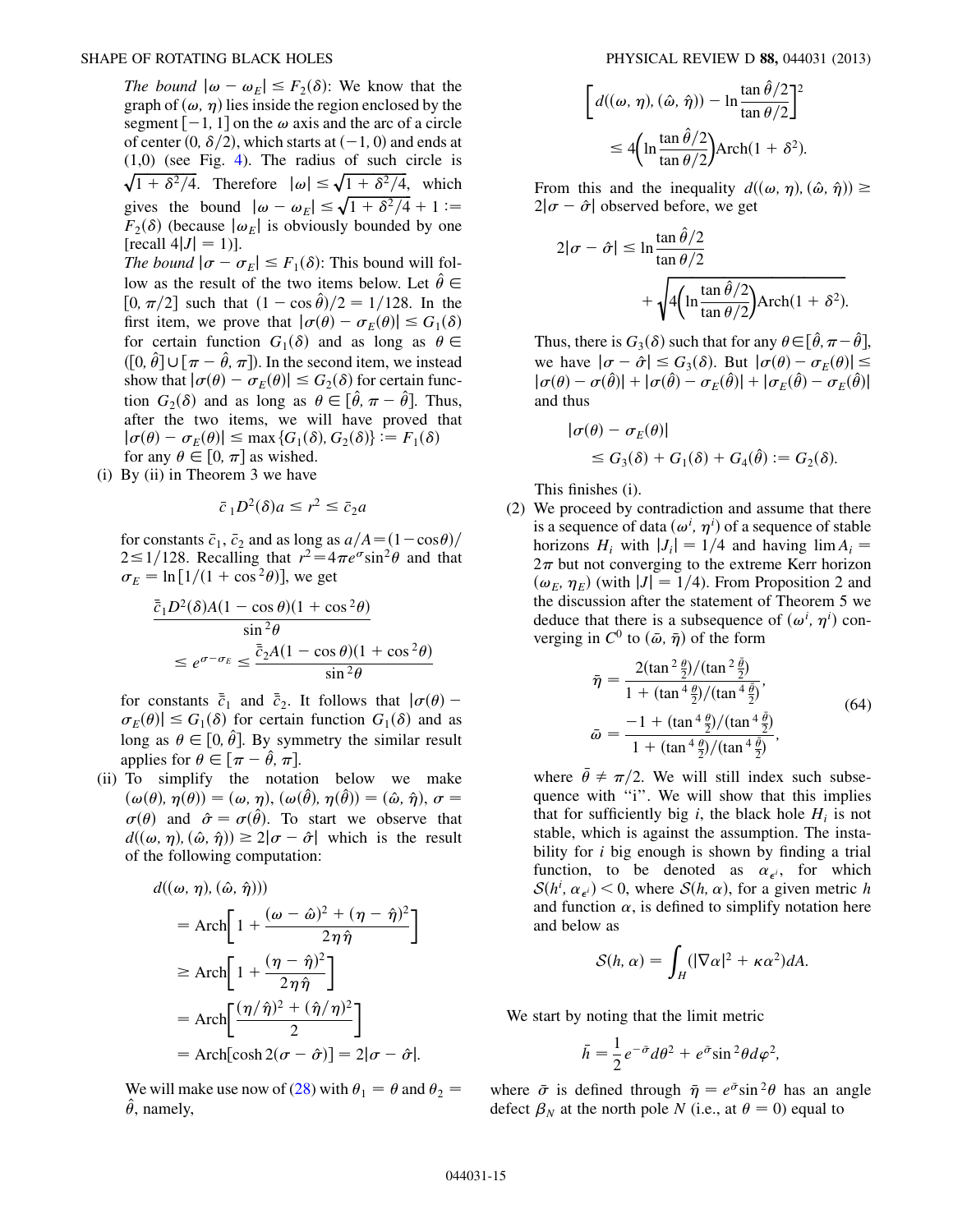#### SHAPE OF ROTATING BLACK HOLES PHYSICAL REVIEW D 88, 044031 (2013)

The bound  $|\omega - \omega_F| \leq F_2(\delta)$ : We know that the graph of  $(\omega, \eta)$  lies inside the region enclosed by the segment  $[-1, 1]$  on the  $\omega$  axis and the arc of a circle of center  $(0, \delta/2)$ , which starts at  $(-1, 0)$  and ends at (1,0) (see Fig. [4\)](#page-6-1). The radius of such circle is  $\sqrt{1 + \delta^2/4}$ . Therefore  $|\omega| \le \sqrt{1 + \delta^2/4}$ , which gives the bound  $|\omega - \omega_E| \le \sqrt{1 + \delta^2/4} + 1 :=$  $F_2(\delta)$  (because  $|\omega_E|$  is obviously bounded by one [recall  $4|J| = 1$ ]. The bound  $|\sigma - \sigma_E| \leq F_1(\delta)$ : This bound will follow as the result of the two items below. Let  $\hat{\theta} \in$  $[0, \pi/2]$  such that  $(1 - \cos \hat{\theta})/2 = 1/128$ . In the first item, we prove that  $|\sigma(\theta) - \sigma_E(\theta)| \leq G_1(\delta)$ 

for certain function  $G_1(\delta)$  and as long as  $\theta \in$  $(0, \hat{\theta}] \cup [\pi - \hat{\theta}, \pi]$ ). In the second item, we instead show that  $|\sigma(\theta) - \sigma_E(\theta)| \leq G_2(\delta)$  for certain function  $G_2(\delta)$  and as long as  $\theta \in [\hat{\theta}, \pi - \hat{\theta}]$ . Thus, after the two items, we will have proved that  $|\sigma(\theta) - \sigma_E(\theta)| \le \max\{G_1(\delta), G_2(\delta)\} := F_1(\delta)$ for any  $\theta \in [0, \pi]$  as wished.

(i) By (ii) in Theorem 3 we have

$$
\bar{c}_1 D^2(\delta) a \le r^2 \le \bar{c}_2 a
$$

for constants  $\bar{c}_1$ ,  $\bar{c}_2$  and as long as  $a/A = (1 - \cos \theta)$  $2 \leq 1/128$ . Recalling that  $r^2 = 4\pi e^{\sigma} \sin^2 \theta$  and that  $\sigma_E = \ln[1/(1+\cos^2\theta)]$ , we get

$$
\frac{\bar{c}_1 D^2(\delta)A(1 - \cos \theta)(1 + \cos^2 \theta)}{\sin^2 \theta}
$$
  
 
$$
\leq e^{\sigma - \sigma_E} \leq \frac{\bar{c}_2 A(1 - \cos \theta)(1 + \cos^2 \theta)}{\sin^2 \theta}
$$

for constants  $\bar{\bar{c}}_1$  and  $\bar{\bar{c}}_2$ . It follows that  $|\sigma(\theta) \sigma_E(\theta) \leq G_1(\delta)$  for certain function  $G_1(\delta)$  and as long as  $\theta \in [0, \hat{\theta}]$ . By symmetry the similar result applies for  $\theta \in [\pi - \hat{\theta}, \pi]$ .

(ii) To simplify the notation below we make  $\dot{\phi}(\omega(\theta), \eta(\theta)) = (\omega, \eta), (\omega(\hat{\theta}), \eta(\hat{\theta})) = (\hat{\omega}, \hat{\eta}), \sigma =$  $\sigma(\theta)$  and  $\hat{\sigma} = \sigma(\hat{\theta})$ . To start we observe that  $d((\omega, \eta), (\hat{\omega}, \hat{\eta})) \geq 2|\sigma - \hat{\sigma}|$  which is the result of the following computation:

$$
d((\omega, \eta), (\hat{\omega}, \hat{\eta})))
$$
  
= 
$$
Arch\left[ 1 + \frac{(\omega - \hat{\omega})^2 + (\eta - \hat{\eta})^2}{2\eta \hat{\eta}} \right]
$$
  

$$
\geq Arch\left[ 1 + \frac{(\eta - \hat{\eta})^2}{2\eta \hat{\eta}} \right]
$$
  
= 
$$
Arch\left[ \frac{(\eta/\hat{\eta})^2 + (\hat{\eta}/\eta)^2}{2} \right]
$$
  
= 
$$
Arch[cosh 2(\sigma - \hat{\sigma})] = 2|\sigma - \hat{\sigma}|.
$$

We will make use now of [\(28\)](#page-6-3) with  $\theta_1 = \theta$  and  $\theta_2 =$  $\hat{\theta}$ , namely,

$$
\left[ d((\omega, \eta), (\hat{\omega}, \hat{\eta})) - \ln \frac{\tan \hat{\theta}/2}{\tan \theta/2} \right]^2
$$
  

$$
\leq 4 \left( \ln \frac{\tan \hat{\theta}/2}{\tan \theta/2} \right) \operatorname{Arch}(1 + \delta^2).
$$

From this and the inequality  $d((\omega, \eta), (\hat{\omega}, \hat{\eta})) \ge$  $2|\sigma - \hat{\sigma}|$  observed before, we get

$$
2|\sigma - \hat{\sigma}| \le \ln \frac{\tan \hat{\theta}/2}{\tan \theta/2} + \sqrt{4\left(\ln \frac{\tan \hat{\theta}/2}{\tan \theta/2}\right)} \text{Arch}(1 + \delta^2).
$$

Thus, there is  $G_3(\delta)$  such that for any  $\theta \in [\hat{\theta}, \pi - \hat{\theta}],$ we have  $|\sigma - \hat{\sigma}| \leq G_3(\delta)$ . But  $|\sigma(\theta) - \sigma_E(\theta)| \leq$  $|\sigma(\theta) - \sigma(\hat{\theta})| + |\sigma(\hat{\theta}) - \sigma_E(\hat{\theta})| + |\sigma_E(\hat{\theta}) - \sigma_E(\hat{\theta})|$ and thus

$$
|\sigma(\theta) - \sigma_E(\theta)|
$$
  
\n
$$
\leq G_3(\delta) + G_1(\delta) + G_4(\hat{\theta}) := G_2(\delta).
$$

This finishes (i).

(2) We proceed by contradiction and assume that there is a sequence of data  $(\omega^i, \eta^i)$  of a sequence of stable horizons  $H_i$  with  $|J_i| = 1/4$  and having lim  $A_i =$  $2\pi$  but not converging to the extreme Kerr horizon  $(\omega_E, \eta_E)$  (with  $|J| = 1/4$ ). From Proposition 2 and the discussion after the statement of Theorem 5 we deduce that there is a subsequence of  $(\omega^i, \eta^i)$  converging in  $C^0$  to  $(\bar{\omega}, \bar{\eta})$  of the form

<span id="page-14-0"></span>
$$
\bar{\eta} = \frac{2(\tan^2 \frac{\theta}{2})/(\tan^2 \frac{\bar{\theta}}{2})}{1 + (\tan^4 \frac{\theta}{2})/(\tan^4 \frac{\bar{\theta}}{2})},
$$
  

$$
\bar{\omega} = \frac{-1 + (\tan^4 \frac{\theta}{2})/(\tan^4 \frac{\bar{\theta}}{2})}{1 + (\tan^4 \frac{\theta}{2})/(\tan^4 \frac{\bar{\theta}}{2})},
$$
(64)

where  $\bar{\theta} \neq \pi/2$ . We will still index such subsequence with "i". We will show that this implies that for sufficiently big i, the black hole  $H_i$  is not stable, which is against the assumption. The instability for  $i$  big enough is shown by finding a trial function, to be denoted as  $\alpha_{\epsilon}$ , for which  $S(h^i, \alpha_{\epsilon^i})$  < 0, where  $S(h, \alpha)$ , for a given metric h and function  $\alpha$ , is defined to simplify notation here and below as

$$
S(h,\alpha)=\int_H(|\nabla\alpha|^2+\kappa\alpha^2)dA.
$$

We start by noting that the limit metric

$$
\bar{h} = \frac{1}{2}e^{-\bar{\sigma}}d\theta^2 + e^{\bar{\sigma}}\sin^2\theta d\varphi^2,
$$

where  $\bar{\sigma}$  is defined through  $\bar{\eta} = e^{\bar{\sigma}} \sin^2 \theta$  has an angle defect  $\beta_N$  at the north pole N (i.e., at  $\theta = 0$ ) equal to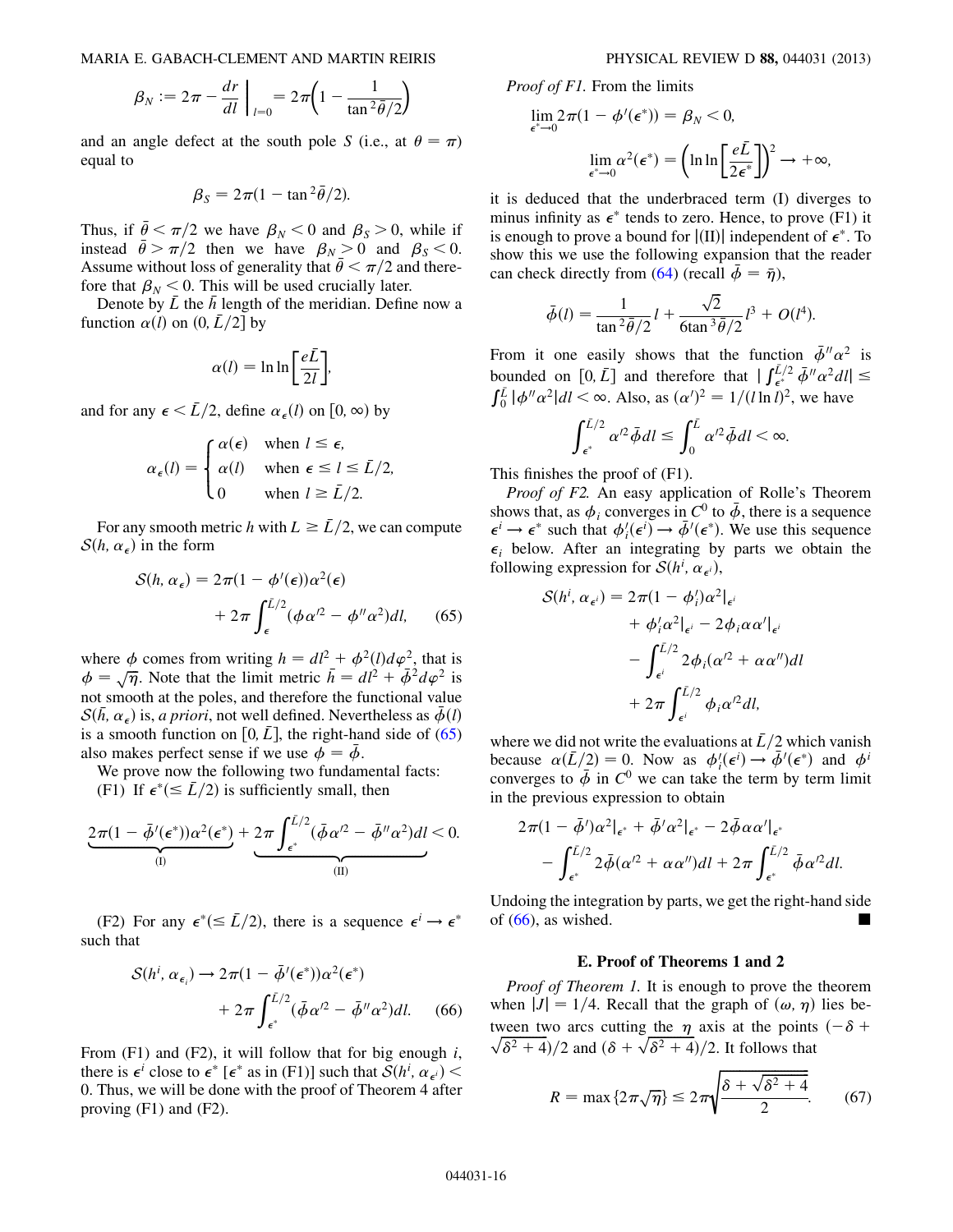$$
\beta_N := 2\pi - \frac{dr}{dl}\bigg|_{l=0} = 2\pi \bigg(1 - \frac{1}{\tan^2 \bar{\theta}/2}\bigg)
$$

and an angle defect at the south pole S (i.e., at  $\theta = \pi$ ) equal to

$$
\beta_S = 2\pi (1 - \tan^2 \bar{\theta}/2).
$$

Thus, if  $\bar{\theta} < \pi/2$  we have  $\beta_N < 0$  and  $\beta_S > 0$ , while if instead  $\bar{\theta} > \pi/2$  then we have  $\beta_N > 0$  and  $\beta_S < 0$ . Assume without loss of generality that  $\bar{\theta} < \pi/2$  and therefore that  $\beta_N < 0$ . This will be used crucially later.

Denote by  $\overline{L}$  the  $\overline{h}$  length of the meridian. Define now a function  $\alpha(l)$  on  $(0, \bar{L}/2]$  by

$$
\alpha(l) = \ln \ln \left[ \frac{e\bar{L}}{2l} \right],
$$

and for any  $\epsilon < \bar{L}/2$ , define  $\alpha_{\epsilon}(l)$  on  $[0, \infty)$  by

$$
\alpha_{\epsilon}(l) = \begin{cases} \alpha(\epsilon) & \text{when } l \leq \epsilon, \\ \alpha(l) & \text{when } \epsilon \leq l \leq \bar{L}/2, \\ 0 & \text{when } l \geq \bar{L}/2. \end{cases}
$$

<span id="page-15-0"></span>For any smooth metric h with  $L \geq \bar{L}/2$ , we can compute  $S(h, \alpha_{\epsilon})$  in the form

$$
S(h, \alpha_{\epsilon}) = 2\pi (1 - \phi'(\epsilon))\alpha^2(\epsilon)
$$

$$
+ 2\pi \int_{\epsilon}^{\bar{L}/2} (\phi \alpha'^2 - \phi'' \alpha^2) dl, \qquad (65)
$$

where  $\phi$  comes from writing  $h = dl^2 + \phi^2(l)d\varphi^2$ , that is  $\phi = \sqrt{\eta}$ . Note that the limit metric  $\bar{h} = d\ell^2 + \bar{\phi}^2 d\varphi^2$  is not smooth at the poles, and therefore the functional value  $S(h, \alpha_{\epsilon})$  is, a priori, not well defined. Nevertheless as  $\phi(l)$ is a smooth function on [0,  $\overline{L}$ ], the right-hand side of [\(65\)](#page-15-0) also makes perfect sense if we use  $\phi = \bar{\phi}$ .

We prove now the following two fundamental facts: (F1) If  $\epsilon^*(\leq \bar{L}/2)$  is sufficiently small, then

$$
\underbrace{2\pi(1-\bar{\phi}'(\epsilon^*))\alpha^2(\epsilon^*)}_{\text{(I)}}+\underbrace{2\pi\int_{\epsilon^*}^{\bar{L}/2}(\bar{\phi}\alpha'^2-\bar{\phi}''\alpha^2)dl}_{\text{(II)}}<0.
$$

<span id="page-15-1"></span>(F2) For any  $\epsilon^*(\leq \bar{L}/2)$ , there is a sequence  $\epsilon^i \rightarrow \epsilon^*$ such that

$$
S(h^i, \alpha_{\epsilon_i}) \to 2\pi (1 - \bar{\phi}'(\epsilon^*))\alpha^2(\epsilon^*)
$$
  
+ 
$$
2\pi \int_{\epsilon^*}^{\bar{L}/2} (\bar{\phi} \alpha'^2 - \bar{\phi}'' \alpha^2) dl. \quad (66)
$$

From  $(F1)$  and  $(F2)$ , it will follow that for big enough i, there is  $\epsilon^i$  close to  $\epsilon^*$  [ $\epsilon^*$  as in (F1)] such that  $S(h^i, \alpha_{\epsilon^i})$  < 0. Thus, we will be done with the proof of Theorem 4 after proving (F1) and (F2).

Proof of F1. From the limits

$$
\lim_{\epsilon^* \to 0} 2\pi (1 - \phi'(\epsilon^*)) = \beta_N < 0,
$$
  

$$
\lim_{\epsilon^* \to 0} \alpha^2 (\epsilon^*) = \left( \ln \ln \left[ \frac{e\bar{L}}{2\epsilon^*} \right] \right)^2 \to +\infty,
$$

it is deduced that the underbraced term (I) diverges to minus infinity as  $\epsilon^*$  tends to zero. Hence, to prove (F1) it is enough to prove a bound for  $\vert$ (II) $\vert$  independent of  $\epsilon^*$ . To show this we use the following expansion that the reader can check directly from [\(64\)](#page-14-0) (recall  $\bar{\phi} = \bar{\eta}$ ),

$$
\bar{\phi}(l) = \frac{1}{\tan^2 \bar{\theta}/2} l + \frac{\sqrt{2}}{6 \tan^3 \bar{\theta}/2} l^3 + O(l^4).
$$

From it one easily shows that the function  $\bar{\phi}'' \alpha^2$  is bounded on [0,  $\bar{L}$ ] and therefore that  $|\int_{\epsilon^*}^{\bar{L}/2} \bar{\phi}'' \alpha^2 dl| \leq$  $\int_0^L |\phi'' \alpha^2| dl < \infty$ . Also, as  $(\alpha')^2 = 1/(l \ln l)^2$ , we have

$$
\int_{\epsilon^*}^{\bar{L}/2} \alpha'^2 \bar{\phi} dl \le \int_0^{\bar{L}} \alpha'^2 \bar{\phi} dl < \infty.
$$

This finishes the proof of (F1).

Proof of F2. An easy application of Rolle's Theorem shows that, as  $\phi_i$  converges in C<sup>0</sup> to  $\bar{\phi}$ , there is a sequence  $\epsilon^i \to \epsilon^*$  such that  $\phi'_i(\epsilon^i) \to \bar{\phi}'(\epsilon^*)$ . We use this sequence  $\epsilon_i$  below. After an integrating by parts we obtain the following expression for  $S(h^i, \alpha_{\epsilon^i})$ ,

$$
S(hi, \alpha_{\epsilon^{i}}) = 2\pi (1 - \phi'_{i}) \alpha^{2}|_{\epsilon^{i}}
$$
  
+  $\phi'_{i} \alpha^{2}|_{\epsilon^{i}} - 2\phi_{i} \alpha \alpha'|_{\epsilon^{i}}$   
-  $\int_{\epsilon^{i}}^{L/2} 2\phi_{i} (\alpha'^{2} + \alpha \alpha'') dl$   
+  $2\pi \int_{\epsilon^{i}}^{L/2} \phi_{i} \alpha'^{2} dl$ ,

where we did not write the evaluations at  $\bar{L}/2$  which vanish because  $\alpha(\bar{L}/2) = 0$ . Now as  $\phi'_i(\epsilon^i) \rightarrow \bar{\phi}'(\epsilon^*)$  and  $\phi^i$ converges to  $\bar{\phi}$  in  $C^0$  we can take the term by term limit in the previous expression to obtain

$$
2\pi (1 - \bar{\phi}^t)\alpha^2|_{\epsilon^*} + \bar{\phi}^t\alpha^2|_{\epsilon^*} - 2\bar{\phi}\alpha\alpha^t|_{\epsilon^*} - \int_{\epsilon^*}^{\bar{L}/2} 2\bar{\phi}(\alpha^t + \alpha\alpha^u)dl + 2\pi \int_{\epsilon^*}^{\bar{L}/2} \bar{\phi}\alpha^t\alpha^t dl.
$$

Undoing the integration by parts, we get the right-hand side of  $(66)$ , as wished.

#### E. Proof of Theorems 1 and 2

Proof of Theorem 1. It is enough to prove the theorem when  $|J| = 1/4$ . Recall that the graph of  $(\omega, \eta)$  lies between two arcs cutting the  $\eta$  axis at the points  $(-\delta +$  $\sqrt{\delta^2 + 4}$ /2 and  $(\delta + \sqrt{\delta^2 + 4})/2$ . It follows that

<span id="page-15-2"></span>
$$
R = \max\left\{2\pi\sqrt{\eta}\right\} \le 2\pi\sqrt{\frac{\delta + \sqrt{\delta^2 + 4}}{2}}.\tag{67}
$$